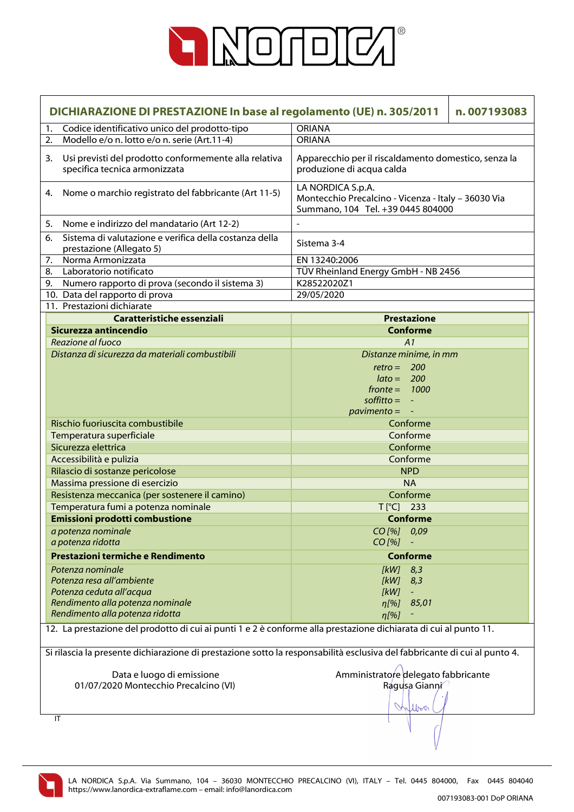

|                                                                                                                                                                                                                                               | DICHIARAZIONE DI PRESTAZIONE In base al regolamento (UE) n. 305/2011<br>n.007193083    |                                                                                                                                 |  |
|-----------------------------------------------------------------------------------------------------------------------------------------------------------------------------------------------------------------------------------------------|----------------------------------------------------------------------------------------|---------------------------------------------------------------------------------------------------------------------------------|--|
| 1.                                                                                                                                                                                                                                            | Codice identificativo unico del prodotto-tipo                                          | <b>ORIANA</b>                                                                                                                   |  |
| 2.                                                                                                                                                                                                                                            | Modello e/o n. lotto e/o n. serie (Art.11-4)                                           | <b>ORIANA</b>                                                                                                                   |  |
| 3.                                                                                                                                                                                                                                            | Usi previsti del prodotto conformemente alla relativa<br>specifica tecnica armonizzata | Apparecchio per il riscaldamento domestico, senza la<br>produzione di acqua calda                                               |  |
| 4.                                                                                                                                                                                                                                            | Nome o marchio registrato del fabbricante (Art 11-5)                                   | LA NORDICA S.p.A.<br>Montecchio Precalcino - Vicenza - Italy - 36030 Via<br>Summano, 104 Tel. +39 0445 804000                   |  |
| 5.                                                                                                                                                                                                                                            | Nome e indirizzo del mandatario (Art 12-2)                                             |                                                                                                                                 |  |
| 6.                                                                                                                                                                                                                                            | Sistema di valutazione e verifica della costanza della<br>prestazione (Allegato 5)     | Sistema 3-4                                                                                                                     |  |
| 7.                                                                                                                                                                                                                                            | Norma Armonizzata                                                                      | EN 13240:2006                                                                                                                   |  |
| 8.                                                                                                                                                                                                                                            | Laboratorio notificato                                                                 | TÜV Rheinland Energy GmbH - NB 2456                                                                                             |  |
| 9.                                                                                                                                                                                                                                            | Numero rapporto di prova (secondo il sistema 3)                                        | K28522020Z1                                                                                                                     |  |
|                                                                                                                                                                                                                                               | 10. Data del rapporto di prova                                                         | 29/05/2020                                                                                                                      |  |
|                                                                                                                                                                                                                                               | 11. Prestazioni dichiarate                                                             |                                                                                                                                 |  |
|                                                                                                                                                                                                                                               | Caratteristiche essenziali                                                             | <b>Prestazione</b>                                                                                                              |  |
|                                                                                                                                                                                                                                               | Sicurezza antincendio                                                                  | <b>Conforme</b>                                                                                                                 |  |
|                                                                                                                                                                                                                                               | Reazione al fuoco                                                                      | A1                                                                                                                              |  |
|                                                                                                                                                                                                                                               | Distanza di sicurezza da materiali combustibili                                        | Distanze minime, in mm                                                                                                          |  |
|                                                                                                                                                                                                                                               |                                                                                        | $retro = 200$<br>$\text{lato} = 200$<br>$fronte = 1000$<br>$\text{soft}$ = $\overline{\phantom{a}}$<br>$\textit{pavimento} = -$ |  |
|                                                                                                                                                                                                                                               | Rischio fuoriuscita combustibile                                                       | Conforme                                                                                                                        |  |
|                                                                                                                                                                                                                                               | Temperatura superficiale                                                               | Conforme                                                                                                                        |  |
|                                                                                                                                                                                                                                               | Sicurezza elettrica                                                                    | Conforme                                                                                                                        |  |
|                                                                                                                                                                                                                                               | Accessibilità e pulizia                                                                | Conforme                                                                                                                        |  |
|                                                                                                                                                                                                                                               | Rilascio di sostanze pericolose                                                        | <b>NPD</b>                                                                                                                      |  |
|                                                                                                                                                                                                                                               | Massima pressione di esercizio                                                         | <b>NA</b>                                                                                                                       |  |
|                                                                                                                                                                                                                                               | Resistenza meccanica (per sostenere il camino)                                         | Conforme                                                                                                                        |  |
|                                                                                                                                                                                                                                               | Temperatura fumi a potenza nominale                                                    | $T[^{\circ}C]$ 233                                                                                                              |  |
|                                                                                                                                                                                                                                               | <b>Emissioni prodotti combustione</b>                                                  | <b>Conforme</b>                                                                                                                 |  |
|                                                                                                                                                                                                                                               | a potenza nominale                                                                     | CO[%] 0,09                                                                                                                      |  |
|                                                                                                                                                                                                                                               | a potenza ridotta                                                                      | $CO$ [%]                                                                                                                        |  |
|                                                                                                                                                                                                                                               | Prestazioni termiche e Rendimento                                                      |                                                                                                                                 |  |
|                                                                                                                                                                                                                                               |                                                                                        | <b>Conforme</b>                                                                                                                 |  |
|                                                                                                                                                                                                                                               | Potenza nominale                                                                       | [kW]<br>8,3                                                                                                                     |  |
|                                                                                                                                                                                                                                               | Potenza resa all'ambiente                                                              | [kW]<br>8,3                                                                                                                     |  |
|                                                                                                                                                                                                                                               | Potenza ceduta all'acqua                                                               | [kW]                                                                                                                            |  |
|                                                                                                                                                                                                                                               | Rendimento alla potenza nominale<br>Rendimento alla potenza ridotta                    | 85,01<br>$\eta$ [%]                                                                                                             |  |
|                                                                                                                                                                                                                                               |                                                                                        | $\eta$ [%]                                                                                                                      |  |
| 12. La prestazione del prodotto di cui ai punti 1 e 2 è conforme alla prestazione dichiarata di cui al punto 11.<br>Si rilascia la presente dichiarazione di prestazione sotto la responsabilità esclusiva del fabbricante di cui al punto 4. |                                                                                        |                                                                                                                                 |  |
|                                                                                                                                                                                                                                               |                                                                                        |                                                                                                                                 |  |
|                                                                                                                                                                                                                                               | Data e luogo di emissione<br>01/07/2020 Montecchio Precalcino (VI)                     | Amministratore delegato fabbricante<br>Ragusa Gianni<br>Wilbert                                                                 |  |
|                                                                                                                                                                                                                                               | IT                                                                                     |                                                                                                                                 |  |
|                                                                                                                                                                                                                                               |                                                                                        |                                                                                                                                 |  |

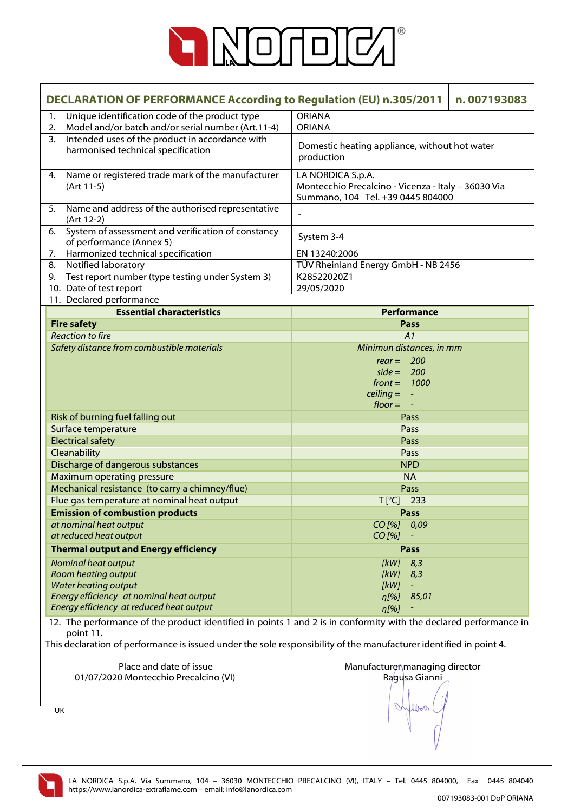

| <b>DECLARATION OF PERFORMANCE According to Regulation (EU) n.305/2011</b><br>n.007193083                                       |                                                                                                               |  |
|--------------------------------------------------------------------------------------------------------------------------------|---------------------------------------------------------------------------------------------------------------|--|
| Unique identification code of the product type<br>1.                                                                           | <b>ORIANA</b>                                                                                                 |  |
| Model and/or batch and/or serial number (Art.11-4)<br>2.                                                                       | <b>ORIANA</b>                                                                                                 |  |
| Intended uses of the product in accordance with<br>3.<br>harmonised technical specification                                    | Domestic heating appliance, without hot water<br>production                                                   |  |
| Name or registered trade mark of the manufacturer<br>4.<br>(Art 11-5)                                                          | LA NORDICA S.p.A.<br>Montecchio Precalcino - Vicenza - Italy - 36030 Via<br>Summano, 104 Tel. +39 0445 804000 |  |
| 5. Name and address of the authorised representative<br>(Art 12-2)                                                             |                                                                                                               |  |
| System of assessment and verification of constancy<br>6.<br>of performance (Annex 5)                                           | System 3-4                                                                                                    |  |
| Harmonized technical specification<br>7.                                                                                       | EN 13240:2006                                                                                                 |  |
| Notified laboratory<br>8.                                                                                                      | TÜV Rheinland Energy GmbH - NB 2456                                                                           |  |
| 9. Test report number (type testing under System 3)                                                                            | K28522020Z1                                                                                                   |  |
| 10. Date of test report                                                                                                        | 29/05/2020                                                                                                    |  |
| 11. Declared performance                                                                                                       |                                                                                                               |  |
| <b>Essential characteristics</b>                                                                                               | Performance                                                                                                   |  |
| <b>Fire safety</b>                                                                                                             | Pass                                                                                                          |  |
| <b>Reaction to fire</b>                                                                                                        | A1                                                                                                            |  |
| Safety distance from combustible materials                                                                                     | Minimun distances, in mm                                                                                      |  |
|                                                                                                                                | $rear = 200$                                                                                                  |  |
|                                                                                                                                | $side = 200$                                                                                                  |  |
|                                                                                                                                | $front = 1000$                                                                                                |  |
|                                                                                                                                | $\text{ceiling} = -$                                                                                          |  |
|                                                                                                                                | $floor = -$                                                                                                   |  |
| Risk of burning fuel falling out                                                                                               | Pass                                                                                                          |  |
| Surface temperature                                                                                                            | Pass                                                                                                          |  |
| <b>Electrical safety</b>                                                                                                       | Pass                                                                                                          |  |
| Cleanability                                                                                                                   | Pass                                                                                                          |  |
| Discharge of dangerous substances                                                                                              | <b>NPD</b>                                                                                                    |  |
| <b>Maximum operating pressure</b>                                                                                              | <b>NA</b>                                                                                                     |  |
| Mechanical resistance (to carry a chimney/flue)                                                                                | Pass                                                                                                          |  |
| Flue gas temperature at nominal heat output                                                                                    | $T[^{\circ}C]$ 233                                                                                            |  |
| <b>Emission of combustion products</b>                                                                                         | Pass                                                                                                          |  |
| at nominal heat output                                                                                                         | $CO$ [%]<br>0,09                                                                                              |  |
| at reduced heat output                                                                                                         | $CO$ [%]                                                                                                      |  |
| <b>Thermal output and Energy efficiency</b>                                                                                    | Pass                                                                                                          |  |
| Nominal heat output                                                                                                            | [kW]<br>8,3                                                                                                   |  |
| <b>Room heating output</b>                                                                                                     | [kW]<br>8,3                                                                                                   |  |
| <b>Water heating output</b>                                                                                                    | [kW]                                                                                                          |  |
| Energy efficiency at nominal heat output                                                                                       | 85,01<br>$\eta$ [%]                                                                                           |  |
| Energy efficiency at reduced heat output                                                                                       | n[%]                                                                                                          |  |
| 12. The performance of the product identified in points 1 and 2 is in conformity with the declared performance in<br>point 11. |                                                                                                               |  |
| This declaration of performance is issued under the sole responsibility of the manufacturer identified in point 4.             |                                                                                                               |  |
|                                                                                                                                |                                                                                                               |  |
| Place and date of issue                                                                                                        | Manufacturer managing director                                                                                |  |
| 01/07/2020 Montecchio Precalcino (VI)                                                                                          | Ragusa Gianni                                                                                                 |  |
|                                                                                                                                |                                                                                                               |  |
|                                                                                                                                |                                                                                                               |  |
| UK                                                                                                                             | Mor                                                                                                           |  |
|                                                                                                                                |                                                                                                               |  |

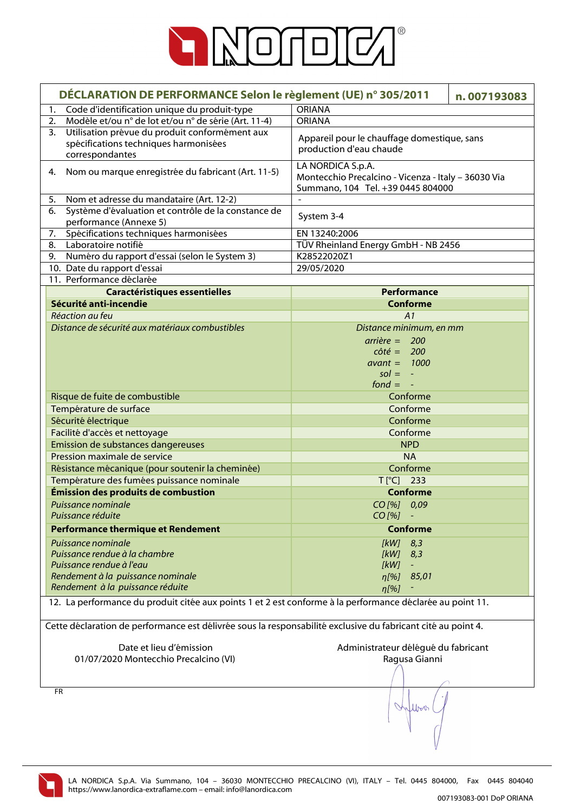

| DÉCLARATION DE PERFORMANCE Selon le règlement (UE) n° 305/2011<br>n.007193083                                |                                                     |  |
|--------------------------------------------------------------------------------------------------------------|-----------------------------------------------------|--|
| Code d'identification unique du produit-type<br>1.                                                           | <b>ORIANA</b>                                       |  |
| Modèle et/ou n° de lot et/ou n° de série (Art. 11-4)<br>2.                                                   | <b>ORIANA</b>                                       |  |
| Utilisation prévue du produit conformément aux<br>3.                                                         |                                                     |  |
| spécifications techniques harmonisées                                                                        | Appareil pour le chauffage domestique, sans         |  |
| correspondantes                                                                                              | production d'eau chaude                             |  |
|                                                                                                              | LA NORDICA S.p.A.                                   |  |
| Nom ou marque enregistrée du fabricant (Art. 11-5)<br>4.                                                     | Montecchio Precalcino - Vicenza - Italy - 36030 Via |  |
|                                                                                                              | Summano, 104 Tel. +39 0445 804000                   |  |
| Nom et adresse du mandataire (Art. 12-2)<br>5.                                                               | $\overline{\phantom{a}}$                            |  |
| Système d'évaluation et contrôle de la constance de<br>6.                                                    | System 3-4                                          |  |
| performance (Annexe 5)                                                                                       |                                                     |  |
| Spécifications techniques harmonisées<br>7.                                                                  | EN 13240:2006                                       |  |
| Laboratoire notifié<br>8.                                                                                    | TÜV Rheinland Energy GmbH - NB 2456                 |  |
| Numéro du rapport d'essai (selon le System 3)<br>9.                                                          | K28522020Z1<br>29/05/2020                           |  |
| 10. Date du rapport d'essai<br>11. Performance déclarée                                                      |                                                     |  |
| <b>Caractéristiques essentielles</b>                                                                         | <b>Performance</b>                                  |  |
| Sécurité anti-incendie                                                                                       | <b>Conforme</b>                                     |  |
| Réaction au feu                                                                                              | A1                                                  |  |
| Distance de sécurité aux matériaux combustibles                                                              | Distance minimum, en mm                             |  |
|                                                                                                              | $arrière = 200$                                     |  |
|                                                                                                              | $c \hat{o} t \hat{e} = 200$                         |  |
|                                                                                                              | $avant = 1000$                                      |  |
|                                                                                                              | $sol = -$                                           |  |
|                                                                                                              | $fond = -$                                          |  |
| Risque de fuite de combustible                                                                               | Conforme                                            |  |
| Température de surface                                                                                       | Conforme                                            |  |
| Sécurité électrique                                                                                          | Conforme                                            |  |
| Facilité d'accès et nettoyage                                                                                | Conforme                                            |  |
| Emission de substances dangereuses                                                                           | <b>NPD</b>                                          |  |
| Pression maximale de service                                                                                 | <b>NA</b>                                           |  |
| Résistance mécanique (pour soutenir la cheminée)                                                             | Conforme                                            |  |
| Température des fumées puissance nominale                                                                    | $T[^{\circ}C]$ 233                                  |  |
| Émission des produits de combustion                                                                          | <b>Conforme</b>                                     |  |
| Puissance nominale                                                                                           | CO[%] 0,09                                          |  |
| Puissance réduite                                                                                            | CO [%]                                              |  |
| <b>Performance thermique et Rendement</b>                                                                    | <b>Conforme</b>                                     |  |
| Puissance nominale                                                                                           | $[kW]$ 8,3                                          |  |
| Puissance rendue à la chambre                                                                                | [kW]<br>8,3                                         |  |
| Puissance rendue à l'eau                                                                                     | [kW]                                                |  |
| Rendement à la puissance nominale                                                                            | 85,01<br>η[%]                                       |  |
| Rendement à la puissance réduite                                                                             | $\eta$ [%]                                          |  |
| 12. La performance du produit citée aux points 1 et 2 est conforme à la performance déclarée au point 11.    |                                                     |  |
|                                                                                                              |                                                     |  |
| Cette déclaration de performance est délivrée sous la responsabilité exclusive du fabricant cité au point 4. |                                                     |  |
|                                                                                                              |                                                     |  |
| Date et lieu d'émission                                                                                      | Administrateur délégué du fabricant                 |  |
| 01/07/2020 Montecchio Precalcino (VI)                                                                        | Ragusa Gianni                                       |  |
|                                                                                                              |                                                     |  |
|                                                                                                              |                                                     |  |
| <b>FR</b>                                                                                                    |                                                     |  |
|                                                                                                              | Inflow                                              |  |
|                                                                                                              |                                                     |  |
|                                                                                                              |                                                     |  |
|                                                                                                              |                                                     |  |

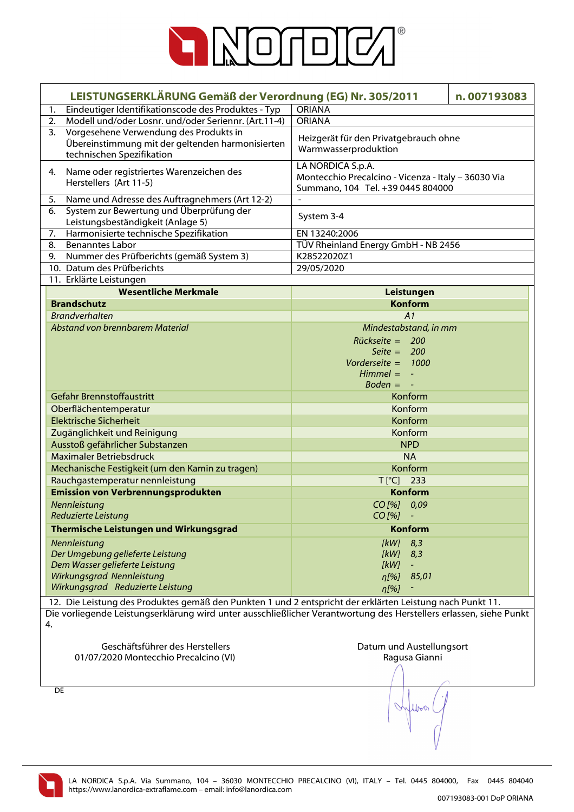

| LEISTUNGSERKLÄRUNG Gemäß der Verordnung (EG) Nr. 305/2011                                                          | n.007193083                                         |
|--------------------------------------------------------------------------------------------------------------------|-----------------------------------------------------|
| Eindeutiger Identifikationscode des Produktes - Typ<br>1.                                                          | <b>ORIANA</b>                                       |
| Modell und/oder Losnr. und/oder Seriennr. (Art.11-4)<br>2.                                                         | <b>ORIANA</b>                                       |
| Vorgesehene Verwendung des Produkts in<br>3.                                                                       |                                                     |
| Übereinstimmung mit der geltenden harmonisierten                                                                   | Heizgerät für den Privatgebrauch ohne               |
| technischen Spezifikation                                                                                          | Warmwasserproduktion                                |
| Name oder registriertes Warenzeichen des<br>4.                                                                     | LA NORDICA S.p.A.                                   |
| Herstellers (Art 11-5)                                                                                             | Montecchio Precalcino - Vicenza - Italy - 36030 Via |
|                                                                                                                    | Summano, 104 Tel. +39 0445 804000                   |
| Name und Adresse des Auftragnehmers (Art 12-2)<br>5.                                                               |                                                     |
| 6.<br>System zur Bewertung und Überprüfung der                                                                     | System 3-4                                          |
| Leistungsbeständigkeit (Anlage 5)                                                                                  |                                                     |
| Harmonisierte technische Spezifikation<br>7.                                                                       | EN 13240:2006                                       |
| <b>Benanntes Labor</b><br>8.<br>Nummer des Prüfberichts (gemäß System 3)<br>9.                                     | TÜV Rheinland Energy GmbH - NB 2456<br>K28522020Z1  |
| 10. Datum des Prüfberichts                                                                                         | 29/05/2020                                          |
| 11. Erklärte Leistungen                                                                                            |                                                     |
| <b>Wesentliche Merkmale</b>                                                                                        | Leistungen                                          |
| <b>Brandschutz</b>                                                                                                 | <b>Konform</b>                                      |
| <b>Brandverhalten</b>                                                                                              | A1                                                  |
| Abstand von brennbarem Material                                                                                    | Mindestabstand, in mm                               |
|                                                                                                                    | Rückseite = 200                                     |
|                                                                                                                    | Seite = $200$                                       |
|                                                                                                                    | Vorderseite = $1000$                                |
|                                                                                                                    | $Himmel = -$                                        |
|                                                                                                                    | $Boden = -$                                         |
| Gefahr Brennstoffaustritt                                                                                          | Konform                                             |
| Oberflächentemperatur                                                                                              | Konform                                             |
| <b>Elektrische Sicherheit</b>                                                                                      | Konform                                             |
| Zugänglichkeit und Reinigung                                                                                       | Konform                                             |
| Ausstoß gefährlicher Substanzen                                                                                    | <b>NPD</b>                                          |
| Maximaler Betriebsdruck                                                                                            | <b>NA</b>                                           |
| Mechanische Festigkeit (um den Kamin zu tragen)                                                                    | Konform                                             |
| Rauchgastemperatur nennleistung                                                                                    | T[°C] 233                                           |
| <b>Emission von Verbrennungsprodukten</b>                                                                          | <b>Konform</b>                                      |
| Nennleistung                                                                                                       | CO[%] 0,09                                          |
| Reduzierte Leistung                                                                                                | $CO$ [%]                                            |
| Thermische Leistungen und Wirkungsgrad                                                                             | <b>Konform</b>                                      |
| Nennleistung                                                                                                       | 8,3<br>[KW]                                         |
| Der Umgebung gelieferte Leistung                                                                                   | [kW]<br>8,3                                         |
| Dem Wasser gelieferte Leistung                                                                                     | [kW]<br>$\blacksquare$                              |
| Wirkungsgrad Nennleistung                                                                                          | $\eta$ [%] 85,01                                    |
| Wirkungsgrad Reduzierte Leistung                                                                                   | $\eta$ [%]                                          |
| 12. Die Leistung des Produktes gemäß den Punkten 1 und 2 entspricht der erklärten Leistung nach Punkt 11.          |                                                     |
| Die vorliegende Leistungserklärung wird unter ausschließlicher Verantwortung des Herstellers erlassen, siehe Punkt |                                                     |
| 4.                                                                                                                 |                                                     |
|                                                                                                                    |                                                     |
| Geschäftsführer des Herstellers                                                                                    | Datum und Austellungsort                            |
| 01/07/2020 Montecchio Precalcino (VI)                                                                              | Ragusa Gianni                                       |
|                                                                                                                    |                                                     |
|                                                                                                                    |                                                     |
| DE                                                                                                                 |                                                     |
|                                                                                                                    |                                                     |
|                                                                                                                    |                                                     |
|                                                                                                                    |                                                     |
|                                                                                                                    |                                                     |

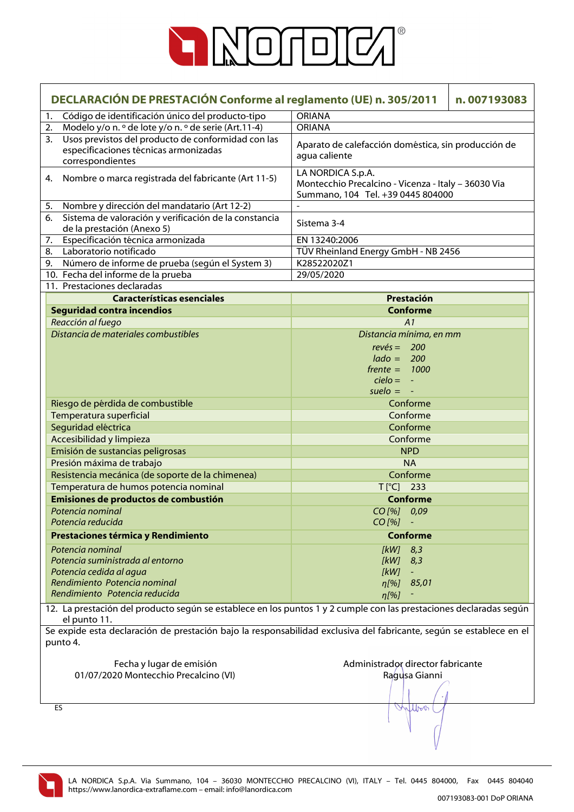

|    | DECLARACIÓN DE PRESTACIÓN Conforme al reglamento (UE) n. 305/2011<br>n.007193083                                                |                                                                                                               |  |
|----|---------------------------------------------------------------------------------------------------------------------------------|---------------------------------------------------------------------------------------------------------------|--|
| 1. | Código de identificación único del producto-tipo                                                                                | <b>ORIANA</b>                                                                                                 |  |
| 2. | Modelo y/o n. º de lote y/o n. º de serie (Art.11-4)                                                                            | <b>ORIANA</b>                                                                                                 |  |
| 3. | Usos previstos del producto de conformidad con las<br>especificaciones técnicas armonizadas<br>correspondientes                 | Aparato de calefacción doméstica, sin producción de<br>agua caliente                                          |  |
|    | 4. Nombre o marca registrada del fabricante (Art 11-5)                                                                          | LA NORDICA S.p.A.<br>Montecchio Precalcino - Vicenza - Italy - 36030 Via<br>Summano, 104 Tel. +39 0445 804000 |  |
| 5. | Nombre y dirección del mandatario (Art 12-2)                                                                                    |                                                                                                               |  |
| 6. | Sistema de valoración y verificación de la constancia<br>de la prestación (Anexo 5)                                             | Sistema 3-4                                                                                                   |  |
| 7. | Especificación técnica armonizada                                                                                               | EN 13240:2006                                                                                                 |  |
|    | 8. Laboratorio notificado                                                                                                       | TÜV Rheinland Energy GmbH - NB 2456                                                                           |  |
|    | 9. Número de informe de prueba (según el System 3)                                                                              | K28522020Z1                                                                                                   |  |
|    | 10. Fecha del informe de la prueba                                                                                              | 29/05/2020                                                                                                    |  |
|    | 11. Prestaciones declaradas                                                                                                     |                                                                                                               |  |
|    | <b>Características esenciales</b>                                                                                               | Prestación                                                                                                    |  |
|    | <b>Seguridad contra incendios</b>                                                                                               | <b>Conforme</b>                                                                                               |  |
|    | Reacción al fuego                                                                                                               | A1                                                                                                            |  |
|    | Distancia de materiales combustibles                                                                                            | Distancia mínima, en mm                                                                                       |  |
|    |                                                                                                                                 | $rev\acute{e}s = 200$                                                                                         |  |
|    |                                                                                                                                 | $lado = 200$                                                                                                  |  |
|    |                                                                                                                                 | $f$ rente = 1000                                                                                              |  |
|    |                                                                                                                                 | $cielo = -$                                                                                                   |  |
|    |                                                                                                                                 | suelo $= -$                                                                                                   |  |
|    | Riesgo de pérdida de combustible                                                                                                | Conforme                                                                                                      |  |
|    | Temperatura superficial                                                                                                         | Conforme                                                                                                      |  |
|    | Seguridad eléctrica                                                                                                             | Conforme                                                                                                      |  |
|    | Accesibilidad y limpieza                                                                                                        | Conforme                                                                                                      |  |
|    | Emisión de sustancias peligrosas                                                                                                | <b>NPD</b>                                                                                                    |  |
|    | Presión máxima de trabajo                                                                                                       | <b>NA</b>                                                                                                     |  |
|    | Resistencia mecánica (de soporte de la chimenea)                                                                                | Conforme                                                                                                      |  |
|    | Temperatura de humos potencia nominal                                                                                           | $T[^{\circ}C]$ 233                                                                                            |  |
|    | Emisiones de productos de combustión                                                                                            | Conforme                                                                                                      |  |
|    | Potencia nominal                                                                                                                | CO[%] 0,09                                                                                                    |  |
|    | Potencia reducida                                                                                                               | CO [%]                                                                                                        |  |
|    |                                                                                                                                 | <b>Conforme</b>                                                                                               |  |
|    | Prestaciones térmica y Rendimiento                                                                                              |                                                                                                               |  |
|    | Potencia nominal                                                                                                                | [kW]<br>8,3                                                                                                   |  |
|    | Potencia suministrada al entorno                                                                                                | [kW]<br>8,3                                                                                                   |  |
|    | Potencia cedida al agua<br>Rendimiento Potencia nominal                                                                         | [kW]                                                                                                          |  |
|    | Rendimiento Potencia reducida                                                                                                   | 85,01<br>$\eta$ [%]                                                                                           |  |
|    | 12. La prestación del producto según se establece en los puntos 1 y 2 cumple con las prestaciones declaradas según              | n[%]                                                                                                          |  |
|    | el punto 11.                                                                                                                    |                                                                                                               |  |
|    | Se expide esta declaración de prestación bajo la responsabilidad exclusiva del fabricante, según se establece en el<br>punto 4. |                                                                                                               |  |
|    | Fecha y lugar de emisión<br>01/07/2020 Montecchio Precalcino (VI)                                                               | Administrador director fabricante<br>Ragusa Gianni                                                            |  |
|    |                                                                                                                                 |                                                                                                               |  |
|    | ES                                                                                                                              | Wilbert                                                                                                       |  |

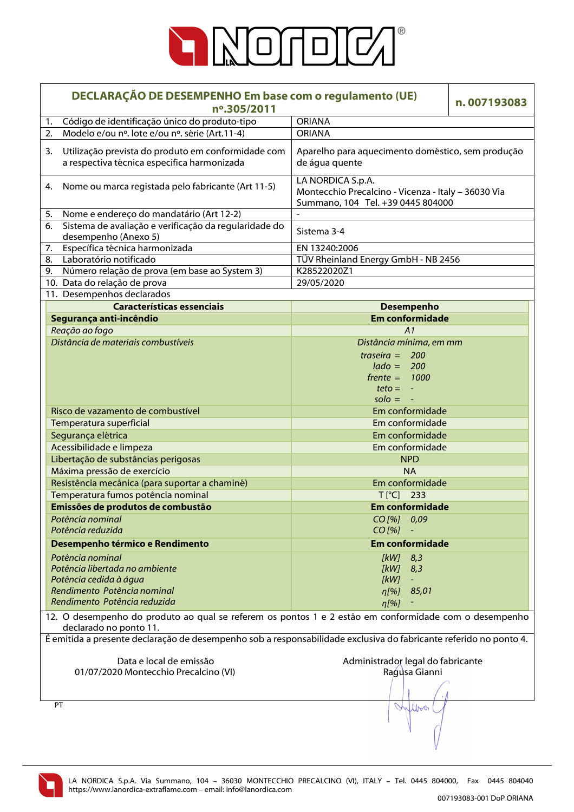

|                                                                                                                                             | DECLARAÇÃO DE DESEMPENHO Em base com o regulamento (UE)<br>nº.305/2011                            |                                                                                                               | n.007193083 |
|---------------------------------------------------------------------------------------------------------------------------------------------|---------------------------------------------------------------------------------------------------|---------------------------------------------------------------------------------------------------------------|-------------|
| 1.                                                                                                                                          | Código de identificação único do produto-tipo                                                     | <b>ORIANA</b>                                                                                                 |             |
| 2.                                                                                                                                          | Modelo e/ou nº. lote e/ou nº. série (Art.11-4)                                                    | <b>ORIANA</b>                                                                                                 |             |
| 3.                                                                                                                                          | Utilização prevista do produto em conformidade com<br>a respectiva técnica especifica harmonizada | Aparelho para aquecimento doméstico, sem produção<br>de água quente                                           |             |
| 4.                                                                                                                                          | Nome ou marca registada pelo fabricante (Art 11-5)                                                | LA NORDICA S.p.A.<br>Montecchio Precalcino - Vicenza - Italy - 36030 Via<br>Summano, 104 Tel. +39 0445 804000 |             |
| 5.                                                                                                                                          | Nome e endereço do mandatário (Art 12-2)                                                          |                                                                                                               |             |
| 6.                                                                                                                                          | Sistema de avaliação e verificação da regularidade do<br>desempenho (Anexo 5)                     | Sistema 3-4                                                                                                   |             |
| 7.                                                                                                                                          | Específica técnica harmonizada                                                                    | EN 13240:2006                                                                                                 |             |
| 8.                                                                                                                                          | Laboratório notificado                                                                            | TÜV Rheinland Energy GmbH - NB 2456                                                                           |             |
| 9.                                                                                                                                          | Número relação de prova (em base ao System 3)                                                     | K28522020Z1                                                                                                   |             |
|                                                                                                                                             | 10. Data do relação de prova                                                                      | 29/05/2020                                                                                                    |             |
|                                                                                                                                             | 11. Desempenhos declarados                                                                        |                                                                                                               |             |
|                                                                                                                                             | <b>Características essenciais</b>                                                                 | <b>Desempenho</b>                                                                                             |             |
|                                                                                                                                             | Segurança anti-incêndio                                                                           | <b>Em conformidade</b>                                                                                        |             |
|                                                                                                                                             | Reação ao fogo                                                                                    | A1                                                                                                            |             |
|                                                                                                                                             | Distância de materiais combustíveis                                                               | Distância mínima, em mm                                                                                       |             |
|                                                                                                                                             |                                                                                                   | traseira = $200$                                                                                              |             |
|                                                                                                                                             |                                                                                                   | $lado = 200$                                                                                                  |             |
|                                                                                                                                             |                                                                                                   | $f$ rente = 1000                                                                                              |             |
|                                                                                                                                             |                                                                                                   | $teto = -$                                                                                                    |             |
|                                                                                                                                             |                                                                                                   | $\mathsf{solo} = -$                                                                                           |             |
|                                                                                                                                             | Risco de vazamento de combustível                                                                 | Em conformidade                                                                                               |             |
|                                                                                                                                             | Temperatura superficial                                                                           | Em conformidade                                                                                               |             |
|                                                                                                                                             |                                                                                                   | Em conformidade                                                                                               |             |
|                                                                                                                                             | Segurança elétrica                                                                                | Em conformidade                                                                                               |             |
|                                                                                                                                             | Acessibilidade e limpeza                                                                          |                                                                                                               |             |
|                                                                                                                                             | Libertação de substâncias perigosas                                                               | <b>NPD</b>                                                                                                    |             |
|                                                                                                                                             | Máxima pressão de exercício                                                                       | <b>NA</b>                                                                                                     |             |
|                                                                                                                                             | Resistência mecânica (para suportar a chaminé)                                                    | Em conformidade                                                                                               |             |
|                                                                                                                                             | Temperatura fumos potência nominal                                                                | $T[^{\circ}C]$ 233                                                                                            |             |
|                                                                                                                                             | Emissões de produtos de combustão                                                                 | <b>Em conformidade</b>                                                                                        |             |
|                                                                                                                                             | Potência nominal<br>Potência reduzida                                                             | CO [%] 0,09<br>$CO$ [%]                                                                                       |             |
|                                                                                                                                             | Desempenho térmico e Rendimento                                                                   | <b>Em conformidade</b>                                                                                        |             |
|                                                                                                                                             | Potência nominal                                                                                  | [kW]<br>8,3                                                                                                   |             |
|                                                                                                                                             | Potência libertada no ambiente                                                                    | [kW]<br>8,3                                                                                                   |             |
|                                                                                                                                             | Potência cedida à água                                                                            | [kW]                                                                                                          |             |
|                                                                                                                                             | Rendimento Potência nominal                                                                       | 85,01<br>$\eta$ [%]                                                                                           |             |
|                                                                                                                                             | Rendimento Potência reduzida                                                                      | $\eta$ [%]                                                                                                    |             |
| 12. O desempenho do produto ao qual se referem os pontos 1 e 2 estão em conformidade com o desempenho                                       |                                                                                                   |                                                                                                               |             |
| declarado no ponto 11.<br>É emitida a presente declaração de desempenho sob a responsabilidade exclusiva do fabricante referido no ponto 4. |                                                                                                   |                                                                                                               |             |
|                                                                                                                                             |                                                                                                   |                                                                                                               |             |
| Data e local de emissão                                                                                                                     |                                                                                                   | Administrador legal do fabricante                                                                             |             |
| 01/07/2020 Montecchio Precalcino (VI)                                                                                                       |                                                                                                   | Ragusa Gianni                                                                                                 |             |
|                                                                                                                                             |                                                                                                   |                                                                                                               |             |
|                                                                                                                                             |                                                                                                   |                                                                                                               |             |
|                                                                                                                                             | PT                                                                                                | Wilbert                                                                                                       |             |
|                                                                                                                                             |                                                                                                   |                                                                                                               |             |

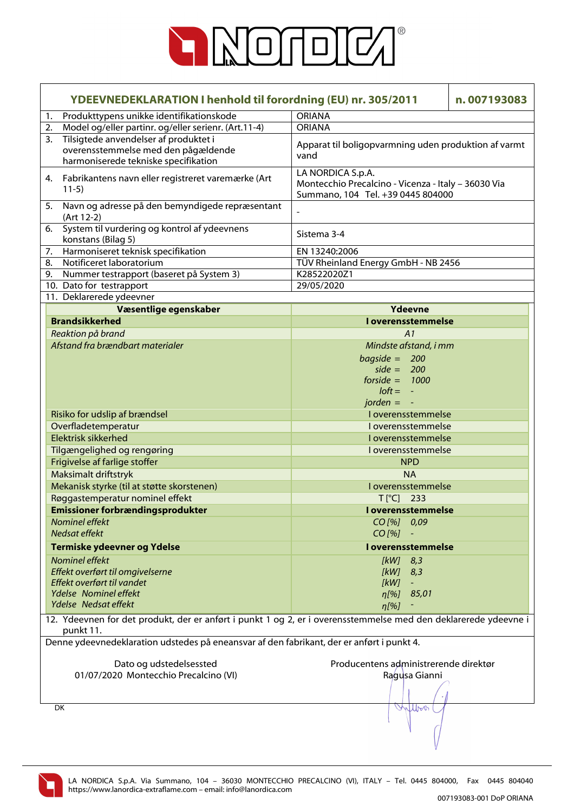

|                                                                                                                            | <b>ORIANA</b>                                                                                                   |  |
|----------------------------------------------------------------------------------------------------------------------------|-----------------------------------------------------------------------------------------------------------------|--|
| Produkttypens unikke identifikationskode<br>1.                                                                             |                                                                                                                 |  |
| Model og/eller partinr. og/eller serienr. (Art.11-4)<br>2.                                                                 | <b>ORIANA</b>                                                                                                   |  |
| Tilsigtede anvendelser af produktet i<br>3.<br>overensstemmelse med den pågældende<br>harmoniserede tekniske specifikation | Apparat til boligopvarmning uden produktion af varmt<br>vand                                                    |  |
| 4. Fabrikantens navn eller registreret varemærke (Art<br>$11-5)$                                                           | LA NORDICA S.p.A.<br>Montecchio Precalcino - Vicenza - Italy - 36030 Via<br>Summano, 104 Tel. +39 0445 804000   |  |
| 5. Navn og adresse på den bemyndigede repræsentant<br>(Art 12-2)                                                           |                                                                                                                 |  |
| System til vurdering og kontrol af ydeevnens<br>6.<br>konstans (Bilag 5)                                                   | Sistema 3-4                                                                                                     |  |
| Harmoniseret teknisk specifikation<br>7.                                                                                   | EN 13240:2006                                                                                                   |  |
| Notificeret laboratorium<br>8.                                                                                             | TÜV Rheinland Energy GmbH - NB 2456                                                                             |  |
| 9.<br>Nummer testrapport (baseret på System 3)                                                                             | K28522020Z1                                                                                                     |  |
| 10. Dato for testrapport                                                                                                   | 29/05/2020                                                                                                      |  |
| 11. Deklarerede ydeevner                                                                                                   |                                                                                                                 |  |
| Væsentlige egenskaber                                                                                                      | Ydeevne                                                                                                         |  |
| <b>Brandsikkerhed</b>                                                                                                      | <b>I</b> overensstemmelse                                                                                       |  |
| Reaktion på brand                                                                                                          | A1                                                                                                              |  |
| Afstand fra brændbart materialer                                                                                           | Mindste afstand, i mm                                                                                           |  |
|                                                                                                                            | $bagside = 200$                                                                                                 |  |
|                                                                                                                            | side = $200$                                                                                                    |  |
|                                                                                                                            | forside = $1000$                                                                                                |  |
|                                                                                                                            | $loft = -$                                                                                                      |  |
|                                                                                                                            | jorden $= -$                                                                                                    |  |
| Risiko for udslip af brændsel                                                                                              | I overensstemmelse                                                                                              |  |
| Overfladetemperatur                                                                                                        | I overensstemmelse                                                                                              |  |
| Elektrisk sikkerhed                                                                                                        | I overensstemmelse                                                                                              |  |
| Tilgængelighed og rengøring                                                                                                | I overensstemmelse                                                                                              |  |
| Frigivelse af farlige stoffer                                                                                              | <b>NPD</b>                                                                                                      |  |
| Maksimalt driftstryk                                                                                                       | <b>NA</b>                                                                                                       |  |
| Mekanisk styrke (til at støtte skorstenen)                                                                                 | I overensstemmelse                                                                                              |  |
| Røggastemperatur nominel effekt                                                                                            | 233<br>$T[^{\circ}C]$                                                                                           |  |
| <b>Emissioner forbrændingsprodukter</b>                                                                                    | <u>l overensstemmelse</u>                                                                                       |  |
| Nominel effekt                                                                                                             | $CO$ [%] $0.09$                                                                                                 |  |
| Nedsat effekt                                                                                                              | $CO$ [%]                                                                                                        |  |
| Termiske ydeevner og Ydelse                                                                                                | <b>I</b> overensstemmelse                                                                                       |  |
| Nominel effekt                                                                                                             | $[kW]$ 8,3                                                                                                      |  |
| Effekt overført til omgivelserne                                                                                           | [kW]<br>8,3                                                                                                     |  |
| Effekt overført til vandet                                                                                                 | [kW]<br>$\equiv$                                                                                                |  |
| Ydelse Nominel effekt                                                                                                      | 85,01<br>$\eta$ [%]                                                                                             |  |
| Ydelse Nedsat effekt                                                                                                       | $\eta$ [%]                                                                                                      |  |
| punkt 11.                                                                                                                  | 12. Ydeevnen for det produkt, der er anført i punkt 1 og 2, er i overensstemmelse med den deklarerede ydeevne i |  |
| Denne ydeevnedeklaration udstedes på eneansvar af den fabrikant, der er anført i punkt 4.                                  |                                                                                                                 |  |
|                                                                                                                            |                                                                                                                 |  |
| Dato og udstedelsessted                                                                                                    | Producentens administrerende direktør                                                                           |  |
| 01/07/2020 Montecchio Precalcino (VI)                                                                                      | Ragusa Gianni                                                                                                   |  |
|                                                                                                                            |                                                                                                                 |  |
|                                                                                                                            |                                                                                                                 |  |
| DK                                                                                                                         | Wilbert                                                                                                         |  |

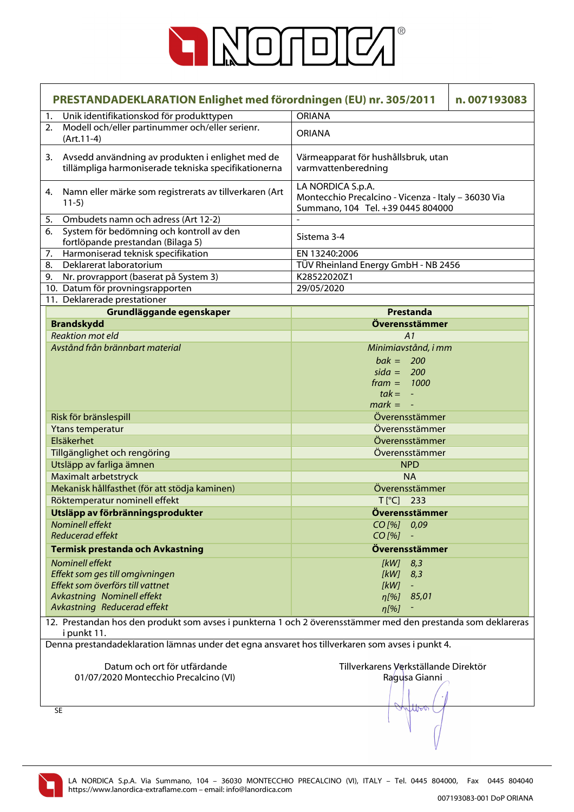

| PRESTANDADEKLARATION Enlighet med förordningen (EU) nr. 305/2011                                |                                                                                                              |                                                                                                               | n.007193083 |
|-------------------------------------------------------------------------------------------------|--------------------------------------------------------------------------------------------------------------|---------------------------------------------------------------------------------------------------------------|-------------|
| 1.                                                                                              | Unik identifikationskod för produkttypen                                                                     | <b>ORIANA</b>                                                                                                 |             |
|                                                                                                 | 2. Modell och/eller partinummer och/eller serienr.<br>$(Art.11-4)$                                           | <b>ORIANA</b>                                                                                                 |             |
| 3.                                                                                              | Avsedd användning av produkten i enlighet med de<br>tillämpliga harmoniserade tekniska specifikationerna     | Värmeapparat för hushållsbruk, utan<br>varmvattenberedning                                                    |             |
| 4.                                                                                              | Namn eller märke som registrerats av tillverkaren (Art<br>$11-5)$                                            | LA NORDICA S.p.A.<br>Montecchio Precalcino - Vicenza - Italy - 36030 Via<br>Summano, 104 Tel. +39 0445 804000 |             |
| 5.                                                                                              | Ombudets namn och adress (Art 12-2)                                                                          |                                                                                                               |             |
| 6.                                                                                              | System för bedömning och kontroll av den<br>fortlöpande prestandan (Bilaga 5)                                | Sistema 3-4                                                                                                   |             |
| 7.                                                                                              | Harmoniserad teknisk specifikation                                                                           | EN 13240:2006                                                                                                 |             |
| 8.                                                                                              | Deklarerat laboratorium                                                                                      | TÜV Rheinland Energy GmbH - NB 2456                                                                           |             |
| 9.                                                                                              | Nr. provrapport (baserat på System 3)                                                                        | K28522020Z1                                                                                                   |             |
|                                                                                                 | 10. Datum för provningsrapporten                                                                             | 29/05/2020                                                                                                    |             |
|                                                                                                 | 11. Deklarerade prestationer                                                                                 |                                                                                                               |             |
|                                                                                                 | Grundläggande egenskaper                                                                                     | Prestanda                                                                                                     |             |
|                                                                                                 | <b>Brandskydd</b>                                                                                            | Överensstämmer                                                                                                |             |
|                                                                                                 | <b>Reaktion mot eld</b><br>Avstånd från brännbart material                                                   | A1                                                                                                            |             |
|                                                                                                 |                                                                                                              | Minimiavstånd, i mm<br>$bak = 200$<br>$sida = 200$                                                            |             |
|                                                                                                 |                                                                                                              | $frame = 1000$                                                                                                |             |
|                                                                                                 |                                                                                                              | $tak = -$                                                                                                     |             |
|                                                                                                 |                                                                                                              | $mark = -$                                                                                                    |             |
|                                                                                                 | Risk för bränslespill                                                                                        | Överensstämmer                                                                                                |             |
|                                                                                                 | Ytans temperatur                                                                                             | Överensstämmer                                                                                                |             |
|                                                                                                 | Elsäkerhet                                                                                                   | Överensstämmer                                                                                                |             |
|                                                                                                 | Tillgänglighet och rengöring                                                                                 | Överensstämmer                                                                                                |             |
|                                                                                                 | Utsläpp av farliga ämnen                                                                                     | <b>NPD</b>                                                                                                    |             |
|                                                                                                 | Maximalt arbetstryck                                                                                         | <b>NA</b>                                                                                                     |             |
|                                                                                                 | Mekanisk hållfasthet (för att stödja kaminen)                                                                | Överensstämmer                                                                                                |             |
|                                                                                                 | Röktemperatur nominell effekt                                                                                | $T[^{\circ}C]$<br>233                                                                                         |             |
|                                                                                                 | Utsläpp av förbränningsprodukter                                                                             | Överensstämmer                                                                                                |             |
|                                                                                                 | <b>Nominell effekt</b>                                                                                       | $CO$ [%] $0.09$                                                                                               |             |
|                                                                                                 | <b>Reducerad effekt</b>                                                                                      | $CO$ [%]                                                                                                      |             |
|                                                                                                 | <b>Termisk prestanda och Avkastning</b>                                                                      | Överensstämmer                                                                                                |             |
|                                                                                                 | <b>Nominell effekt</b>                                                                                       | 8,3<br>[kW]                                                                                                   |             |
|                                                                                                 | Effekt som ges till omgivningen                                                                              | [kW]<br>8,3                                                                                                   |             |
|                                                                                                 | Effekt som överförs till vattnet                                                                             | [kW]                                                                                                          |             |
|                                                                                                 | Avkastning Nominell effekt<br>Avkastning Reducerad effekt                                                    | 85,01<br>$\eta$ [%]                                                                                           |             |
|                                                                                                 | 12. Prestandan hos den produkt som avses i punkterna 1 och 2 överensstämmer med den prestanda som deklareras | $\eta$ [%]                                                                                                    |             |
|                                                                                                 | i punkt 11.                                                                                                  |                                                                                                               |             |
| Denna prestandadeklaration lämnas under det egna ansvaret hos tillverkaren som avses i punkt 4. |                                                                                                              |                                                                                                               |             |
|                                                                                                 | Datum och ort för utfärdande                                                                                 | Tillverkarens Verkställande Direktör                                                                          |             |
|                                                                                                 | 01/07/2020 Montecchio Precalcino (VI)                                                                        | Ragusa Gianni                                                                                                 |             |
|                                                                                                 |                                                                                                              |                                                                                                               |             |
|                                                                                                 |                                                                                                              |                                                                                                               |             |
|                                                                                                 | <b>SE</b>                                                                                                    | White                                                                                                         |             |
|                                                                                                 |                                                                                                              |                                                                                                               |             |

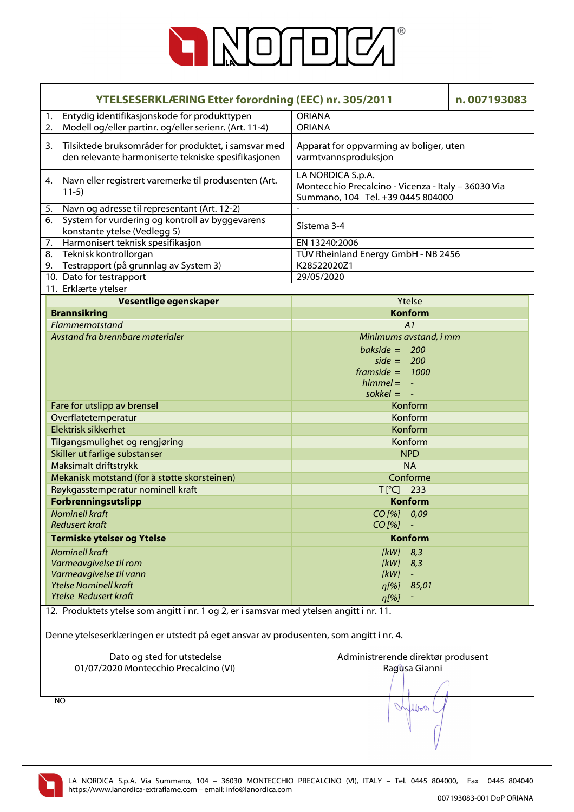

|    | <b>YTELSESERKLÆRING Etter forordning (EEC) nr. 305/2011</b><br>n.007193083                                               |                                                                                                               |  |
|----|--------------------------------------------------------------------------------------------------------------------------|---------------------------------------------------------------------------------------------------------------|--|
| 1. | Entydig identifikasjonskode for produkttypen                                                                             | <b>ORIANA</b>                                                                                                 |  |
| 2. | Modell og/eller partinr. og/eller serienr. (Art. 11-4)                                                                   | <b>ORIANA</b>                                                                                                 |  |
| 3. | Tilsiktede bruksområder for produktet, i samsvar med<br>den relevante harmoniserte tekniske spesifikasjonen              | Apparat for oppvarming av boliger, uten<br>varmtvannsproduksjon                                               |  |
|    | 4. Navn eller registrert varemerke til produsenten (Art.<br>$11-5)$                                                      | LA NORDICA S.p.A.<br>Montecchio Precalcino - Vicenza - Italy - 36030 Via<br>Summano, 104 Tel. +39 0445 804000 |  |
| 5. | Navn og adresse til representant (Art. 12-2)                                                                             |                                                                                                               |  |
| 6. | System for vurdering og kontroll av byggevarens<br>konstante ytelse (Vedlegg 5)                                          | Sistema 3-4                                                                                                   |  |
| 7. | Harmonisert teknisk spesifikasjon                                                                                        | EN 13240:2006                                                                                                 |  |
| 8. | Teknisk kontrollorgan                                                                                                    | TÜV Rheinland Energy GmbH - NB 2456                                                                           |  |
| 9. | Testrapport (på grunnlag av System 3)                                                                                    | K28522020Z1                                                                                                   |  |
|    | 10. Dato for testrapport                                                                                                 | 29/05/2020                                                                                                    |  |
|    | 11. Erklærte ytelser                                                                                                     |                                                                                                               |  |
|    | Vesentlige egenskaper                                                                                                    | Ytelse                                                                                                        |  |
|    | <b>Brannsikring</b>                                                                                                      | <b>Konform</b>                                                                                                |  |
|    | Flammemotstand                                                                                                           | A1                                                                                                            |  |
|    | Avstand fra brennbare materialer                                                                                         | Minimums avstand, i mm                                                                                        |  |
|    |                                                                                                                          | bakside = $200$                                                                                               |  |
|    |                                                                                                                          | side = $200$                                                                                                  |  |
|    |                                                                                                                          | framside = $1000$                                                                                             |  |
|    |                                                                                                                          | $himmel = -$                                                                                                  |  |
|    |                                                                                                                          | sokkel $= -$                                                                                                  |  |
|    | Fare for utslipp av brensel                                                                                              | Konform                                                                                                       |  |
|    | Overflatetemperatur                                                                                                      | Konform                                                                                                       |  |
|    | Elektrisk sikkerhet                                                                                                      | Konform                                                                                                       |  |
|    | Tilgangsmulighet og rengjøring                                                                                           | Konform                                                                                                       |  |
|    | Skiller ut farlige substanser                                                                                            | <b>NPD</b>                                                                                                    |  |
|    | Maksimalt driftstrykk                                                                                                    | <b>NA</b>                                                                                                     |  |
|    | Mekanisk motstand (for å støtte skorsteinen)                                                                             | Conforme                                                                                                      |  |
|    | Røykgasstemperatur nominell kraft                                                                                        | $T[^{\circ}C]$ 233                                                                                            |  |
|    | Forbrenningsutslipp                                                                                                      | <b>Konform</b>                                                                                                |  |
|    |                                                                                                                          |                                                                                                               |  |
|    | <b>Nominell kraft</b><br><b>Redusert kraft</b>                                                                           | CO[%] 0,09                                                                                                    |  |
|    |                                                                                                                          | $CO [%] -$                                                                                                    |  |
|    | <b>Termiske ytelser og Ytelse</b>                                                                                        | <b>Konform</b>                                                                                                |  |
|    | <b>Nominell kraft</b>                                                                                                    | 8,3<br>[kW]                                                                                                   |  |
|    | Varmeavgivelse til rom                                                                                                   | [kW]<br>8,3                                                                                                   |  |
|    | Varmeavgivelse til vann                                                                                                  | [kW]                                                                                                          |  |
|    | <b>Ytelse Nominell kraft</b>                                                                                             | 85,01<br>$\eta$ [%]                                                                                           |  |
|    | <b>Ytelse Redusert kraft</b><br>12. Produktets ytelse som angitt i nr. 1 og 2, er i samsvar med ytelsen angitt i nr. 11. | $\eta$ [%]                                                                                                    |  |
|    | Denne ytelseserklæringen er utstedt på eget ansvar av produsenten, som angitt i nr. 4.                                   |                                                                                                               |  |
|    |                                                                                                                          |                                                                                                               |  |
|    | Dato og sted for utstedelse                                                                                              | Administrerende direktør produsent                                                                            |  |
|    | 01/07/2020 Montecchio Precalcino (VI)                                                                                    | Ragusa Gianni                                                                                                 |  |
|    |                                                                                                                          |                                                                                                               |  |
|    | <b>NO</b>                                                                                                                | Inflow                                                                                                        |  |

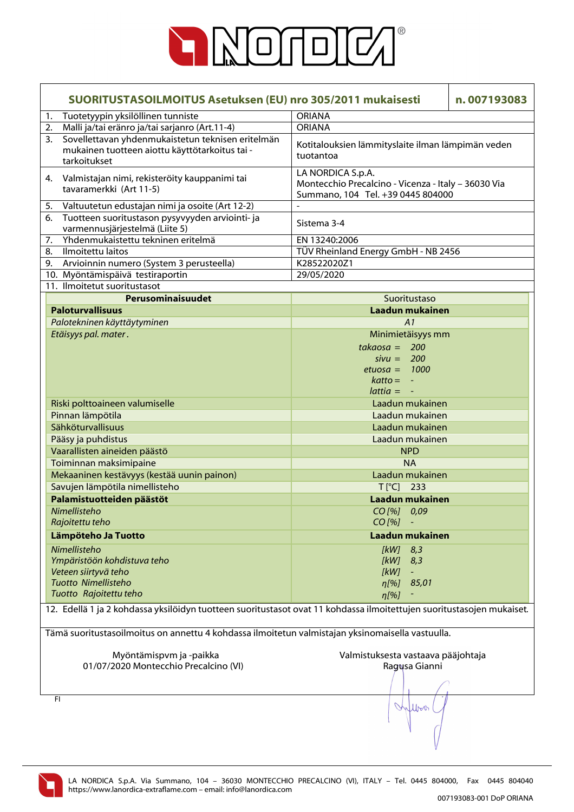

| SUORITUSTASOILMOITUS Asetuksen (EU) nro 305/2011 mukaisesti                                                               |                                                                                                               | n.007193083 |
|---------------------------------------------------------------------------------------------------------------------------|---------------------------------------------------------------------------------------------------------------|-------------|
| Tuotetyypin yksilöllinen tunniste<br>1.                                                                                   | <b>ORIANA</b>                                                                                                 |             |
| Malli ja/tai eränro ja/tai sarjanro (Art.11-4)<br>2.                                                                      | <b>ORIANA</b>                                                                                                 |             |
| Sovellettavan yhdenmukaistetun teknisen eritelmän<br>3.<br>mukainen tuotteen aiottu käyttötarkoitus tai -<br>tarkoitukset | Kotitalouksien lämmityslaite ilman lämpimän veden<br>tuotantoa                                                |             |
| Valmistajan nimi, rekisteröity kauppanimi tai<br>4.<br>tavaramerkki (Art 11-5)                                            | LA NORDICA S.p.A.<br>Montecchio Precalcino - Vicenza - Italy - 36030 Via<br>Summano, 104 Tel. +39 0445 804000 |             |
| Valtuutetun edustajan nimi ja osoite (Art 12-2)<br>5.                                                                     |                                                                                                               |             |
| 6.<br>Tuotteen suoritustason pysyvyyden arviointi- ja<br>varmennusjärjestelmä (Liite 5)                                   | Sistema 3-4                                                                                                   |             |
| Yhdenmukaistettu tekninen eritelmä<br>7.                                                                                  | EN 13240:2006                                                                                                 |             |
| Ilmoitettu laitos<br>8.                                                                                                   | TÜV Rheinland Energy GmbH - NB 2456                                                                           |             |
| 9.<br>Arvioinnin numero (System 3 perusteella)                                                                            | K28522020Z1                                                                                                   |             |
| 10. Myöntämispäivä testiraportin                                                                                          | 29/05/2020                                                                                                    |             |
| 11. Ilmoitetut suoritustasot                                                                                              |                                                                                                               |             |
| Perusominaisuudet                                                                                                         | Suoritustaso                                                                                                  |             |
| <b>Paloturvallisuus</b>                                                                                                   | Laadun mukainen                                                                                               |             |
| Palotekninen käyttäytyminen                                                                                               | A1                                                                                                            |             |
| Etäisyys pal. mater.                                                                                                      | Minimietäisyys mm                                                                                             |             |
|                                                                                                                           | $takaosa = 200$                                                                                               |             |
|                                                                                                                           | $sivu = 200$                                                                                                  |             |
|                                                                                                                           | $etuosa = 1000$                                                                                               |             |
|                                                                                                                           | $k$ atto = $-$                                                                                                |             |
|                                                                                                                           | $lattice = -$                                                                                                 |             |
| Riski polttoaineen valumiselle                                                                                            | Laadun mukainen<br>Laadun mukainen                                                                            |             |
| Pinnan lämpötila<br>Sähköturvallisuus                                                                                     | Laadun mukainen                                                                                               |             |
| Pääsy ja puhdistus                                                                                                        | Laadun mukainen                                                                                               |             |
| Vaarallisten aineiden päästö                                                                                              | <b>NPD</b>                                                                                                    |             |
| Toiminnan maksimipaine                                                                                                    | <b>NA</b>                                                                                                     |             |
| Mekaaninen kestävyys (kestää uunin painon)                                                                                | Laadun mukainen                                                                                               |             |
| Savujen lämpötila nimellisteho                                                                                            | $T[^{\circ}C]$<br>233                                                                                         |             |
| Palamistuotteiden päästöt                                                                                                 | Laadun mukainen                                                                                               |             |
| Nimellisteho                                                                                                              | CO[%] 0,09                                                                                                    |             |
| Rajoitettu teho                                                                                                           | $CO$ [%]                                                                                                      |             |
| Lämpöteho Ja Tuotto                                                                                                       | Laadun mukainen                                                                                               |             |
| Nimellisteho                                                                                                              |                                                                                                               |             |
| Ympäristöön kohdistuva teho                                                                                               | [kW]<br>8,3<br>[kW]<br>8,3                                                                                    |             |
| Veteen siirtyvä teho                                                                                                      | [kW]                                                                                                          |             |
| <b>Tuotto Nimellisteho</b>                                                                                                | 85,01<br>$n[\%]$                                                                                              |             |
| Tuotto Rajoitettu teho                                                                                                    | $\eta$ [%]                                                                                                    |             |
| 12. Edellä 1 ja 2 kohdassa yksilöidyn tuotteen suoritustasot ovat 11 kohdassa ilmoitettujen suoritustasojen mukaiset.     |                                                                                                               |             |
| Tämä suoritustasoilmoitus on annettu 4 kohdassa ilmoitetun valmistajan yksinomaisella vastuulla.                          |                                                                                                               |             |
| Myöntämispvm ja -paikka<br>01/07/2020 Montecchio Precalcino (VI)                                                          | Valmistuksesta vastaava pääjohtaja<br>Ragusa Gianni                                                           |             |
|                                                                                                                           |                                                                                                               |             |
| FI                                                                                                                        | Inflow                                                                                                        |             |

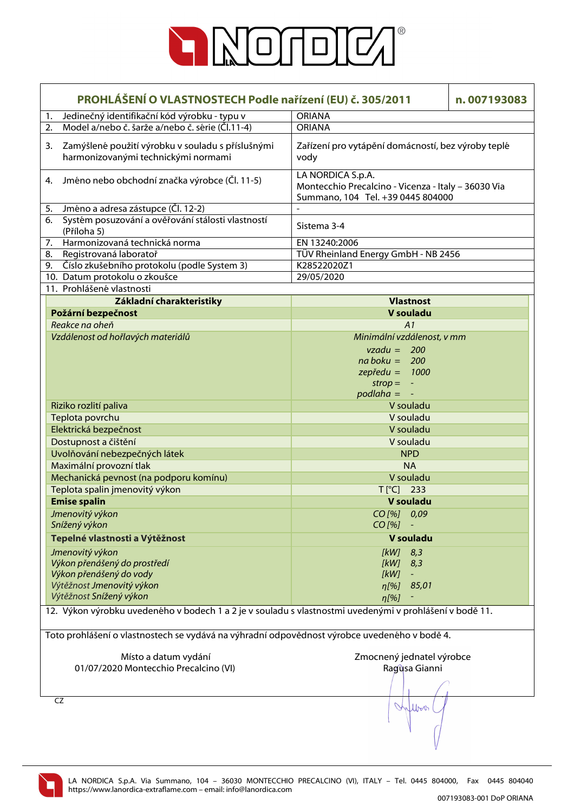

|    | PROHLÁŠENÍ O VLASTNOSTECH Podle nařízení (EU) č. 305/2011<br>n.007193083                                                           |                                                                                                               |  |
|----|------------------------------------------------------------------------------------------------------------------------------------|---------------------------------------------------------------------------------------------------------------|--|
| 1. | Jedinečný identifikační kód výrobku - typu v                                                                                       | <b>ORIANA</b>                                                                                                 |  |
| 2. | Model a/nebo č. šarže a/nebo č. série (Čl.11-4)                                                                                    | <b>ORIANA</b>                                                                                                 |  |
| 3. | Zamýšlené použití výrobku v souladu s příslušnými<br>harmonizovanými technickými normami                                           | Zařízení pro vytápění domácností, bez výroby teplé<br>vody                                                    |  |
| 4. | Jméno nebo obchodní značka výrobce (Čl. 11-5)                                                                                      | LA NORDICA S.p.A.<br>Montecchio Precalcino - Vicenza - Italy - 36030 Via<br>Summano, 104 Tel. +39 0445 804000 |  |
| 5. | Jméno a adresa zástupce (Čl. 12-2)                                                                                                 |                                                                                                               |  |
| 6. | Systém posuzování a ověřování stálosti vlastností<br>(Příloha 5)                                                                   | Sistema 3-4                                                                                                   |  |
| 7. | Harmonizovaná technická norma                                                                                                      | EN 13240:2006                                                                                                 |  |
| 8. | Registrovaná laboratoř                                                                                                             | TÜV Rheinland Energy GmbH - NB 2456                                                                           |  |
| 9. | Číslo zkušebního protokolu (podle System 3)                                                                                        | K28522020Z1                                                                                                   |  |
|    | 10. Datum protokolu o zkoušce                                                                                                      | 29/05/2020                                                                                                    |  |
|    | 11. Prohlášené vlastnosti                                                                                                          |                                                                                                               |  |
|    | Základní charakteristiky                                                                                                           | <b>Vlastnost</b>                                                                                              |  |
|    | Požární bezpečnost                                                                                                                 | V souladu                                                                                                     |  |
|    | Reakce na oheň                                                                                                                     | A1                                                                                                            |  |
|    | Vzdálenost od hořlavých materiálů                                                                                                  | Minimální vzdálenost, v mm                                                                                    |  |
|    |                                                                                                                                    | $vzadu = 200$                                                                                                 |  |
|    |                                                                                                                                    | $na boku = 200$                                                                                               |  |
|    |                                                                                                                                    | $z$ epředu = 1000                                                                                             |  |
|    |                                                                                                                                    | $strop = -$                                                                                                   |  |
|    |                                                                                                                                    | $p$ odlaha = $-$                                                                                              |  |
|    | Riziko rozlití paliva                                                                                                              | V souladu                                                                                                     |  |
|    | Teplota povrchu                                                                                                                    | V souladu                                                                                                     |  |
|    | Elektrická bezpečnost                                                                                                              | V souladu                                                                                                     |  |
|    | Dostupnost a čištění                                                                                                               | V souladu                                                                                                     |  |
|    | Uvolňování nebezpečných látek                                                                                                      | <b>NPD</b>                                                                                                    |  |
|    | Maximální provozní tlak                                                                                                            | <b>NA</b>                                                                                                     |  |
|    | Mechanická pevnost (na podporu komínu)                                                                                             | V souladu                                                                                                     |  |
|    | Teplota spalin jmenovitý výkon                                                                                                     | $T[^{\circ}C]$ 233                                                                                            |  |
|    |                                                                                                                                    |                                                                                                               |  |
|    | <b>Emise spalin</b>                                                                                                                | V souladu                                                                                                     |  |
|    | Jmenovitý výkon                                                                                                                    | CO[%] 0,09                                                                                                    |  |
|    | Snížený výkon                                                                                                                      | $CO$ [%]                                                                                                      |  |
|    | Tepelné vlastnosti a Výtěžnost                                                                                                     | V souladu                                                                                                     |  |
|    | Jmenovitý výkon                                                                                                                    | [kW]<br>8,3                                                                                                   |  |
|    | Výkon přenášený do prostředí                                                                                                       | [kW]<br>8,3                                                                                                   |  |
|    | Výkon přenášený do vody                                                                                                            | [kW]                                                                                                          |  |
|    | Výtěžnost Jmenovitý výkon                                                                                                          | 85,01<br>$\eta$ [%]                                                                                           |  |
|    | Výtěžnost Snížený výkon<br>12. Výkon výrobku uvedeného v bodech 1 a 2 je v souladu s vlastnostmi uvedenými v prohlášení v bodě 11. | $\eta$ [%]                                                                                                    |  |
|    |                                                                                                                                    |                                                                                                               |  |
|    | Toto prohlášení o vlastnostech se vydává na výhradní odpovědnost výrobce uvedeného v bodě 4.                                       |                                                                                                               |  |
|    | Místo a datum vydání                                                                                                               | Zmocnený jednatel výrobce                                                                                     |  |
|    | 01/07/2020 Montecchio Precalcino (VI)                                                                                              | Ragusa Gianni                                                                                                 |  |
|    |                                                                                                                                    |                                                                                                               |  |
|    | CZ                                                                                                                                 |                                                                                                               |  |
|    |                                                                                                                                    | Inflow                                                                                                        |  |

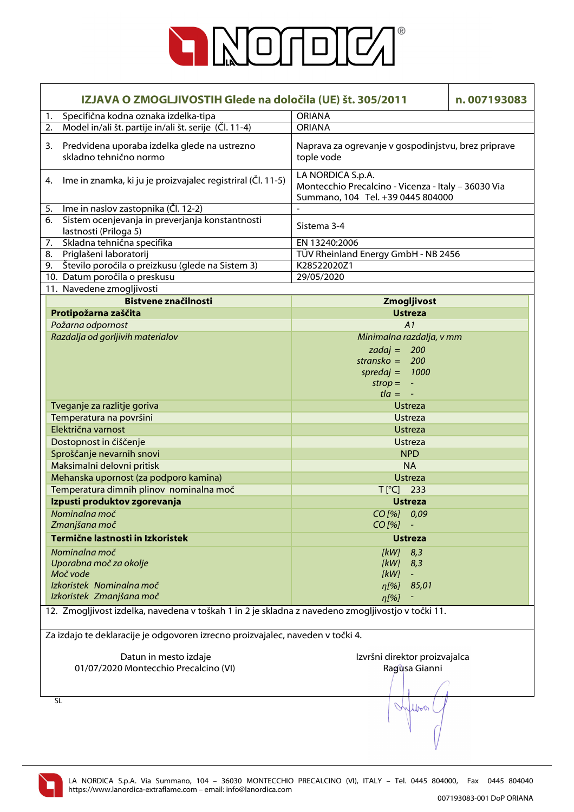

| IZJAVA O ZMOGLJIVOSTIH Glede na določila (UE) št. 305/2011<br>n.007193083                                       |                                                                                                               |  |
|-----------------------------------------------------------------------------------------------------------------|---------------------------------------------------------------------------------------------------------------|--|
| Specifična kodna oznaka izdelka-tipa<br>1.                                                                      | <b>ORIANA</b>                                                                                                 |  |
| Model in/ali št. partije in/ali št. serije (Čl. 11-4)<br>2.                                                     | <b>ORIANA</b>                                                                                                 |  |
| Predvidena uporaba izdelka glede na ustrezno<br>3.<br>skladno tehnično normo                                    | Naprava za ogrevanje v gospodinjstvu, brez priprave<br>tople vode                                             |  |
| Ime in znamka, ki ju je proizvajalec registriral (Čl. 11-5)<br>4.                                               | LA NORDICA S.p.A.<br>Montecchio Precalcino - Vicenza - Italy - 36030 Via<br>Summano, 104 Tel. +39 0445 804000 |  |
| Ime in naslov zastopnika (Čl. 12-2)<br>5.                                                                       |                                                                                                               |  |
| Sistem ocenjevanja in preverjanja konstantnosti<br>6.<br>lastnosti (Priloga 5)                                  | Sistema 3-4                                                                                                   |  |
| Skladna tehnična specifika<br>7.                                                                                | EN 13240:2006                                                                                                 |  |
| 8.<br>Priglašeni laboratorij                                                                                    | TÜV Rheinland Energy GmbH - NB 2456                                                                           |  |
| Število poročila o preizkusu (glede na Sistem 3)<br>9.                                                          | K28522020Z1                                                                                                   |  |
| 10. Datum poročila o preskusu                                                                                   | 29/05/2020                                                                                                    |  |
| 11. Navedene zmogljivosti                                                                                       |                                                                                                               |  |
| <b>Bistvene značilnosti</b>                                                                                     | Zmogljivost                                                                                                   |  |
| Protipožarna zaščita                                                                                            | <b>Ustreza</b>                                                                                                |  |
| Požarna odpornost                                                                                               | A1                                                                                                            |  |
| Razdalja od gorljivih materialov                                                                                | Minimalna razdalja, v mm                                                                                      |  |
|                                                                                                                 | zadaj = $200$                                                                                                 |  |
|                                                                                                                 | stransko = $200$                                                                                              |  |
|                                                                                                                 | spredaj = $1000$                                                                                              |  |
|                                                                                                                 | $strop = -$                                                                                                   |  |
|                                                                                                                 | $t/a = -$                                                                                                     |  |
|                                                                                                                 |                                                                                                               |  |
| Tveganje za razlitje goriva                                                                                     | <b>Ustreza</b>                                                                                                |  |
| Temperatura na površini                                                                                         | <b>Ustreza</b>                                                                                                |  |
| Električna varnost                                                                                              | <b>Ustreza</b>                                                                                                |  |
| Dostopnost in čiščenje                                                                                          | <b>Ustreza</b>                                                                                                |  |
| Sproščanje nevarnih snovi                                                                                       | <b>NPD</b>                                                                                                    |  |
| Maksimalni delovni pritisk                                                                                      | <b>NA</b>                                                                                                     |  |
| Mehanska upornost (za podporo kamina)                                                                           | <b>Ustreza</b>                                                                                                |  |
| Temperatura dimnih plinov nominalna moč                                                                         | $T[^{\circ}C]$ 233                                                                                            |  |
| Izpusti produktov zgorevanja                                                                                    | <b>Ustreza</b>                                                                                                |  |
| Nominalna moč                                                                                                   | CO [%] 0,09                                                                                                   |  |
| Zmanjšana moč                                                                                                   | $CO [%] -$                                                                                                    |  |
| Termične lastnosti in Izkoristek                                                                                | <b>Ustreza</b>                                                                                                |  |
| Nominalna moč                                                                                                   | $[kW]$ 8,3                                                                                                    |  |
| Uporabna moč za okolje                                                                                          | [kW]<br>8,3                                                                                                   |  |
| Moč vode                                                                                                        | [kW]                                                                                                          |  |
| Izkoristek Nominalna moč                                                                                        | 85,01<br>$\eta$ [%]                                                                                           |  |
| Izkoristek Zmanjšana moč                                                                                        |                                                                                                               |  |
| $\eta$ [%]<br>12. Zmogljivost izdelka, navedena v toškah 1 in 2 je skladna z navedeno zmogljivostjo v točki 11. |                                                                                                               |  |
| Za izdajo te deklaracije je odgovoren izrecno proizvajalec, naveden v točki 4.                                  |                                                                                                               |  |
| Datun in mesto izdaje                                                                                           | Izvršni direktor proizvajalca                                                                                 |  |
| 01/07/2020 Montecchio Precalcino (VI)                                                                           | Ragusa Gianni                                                                                                 |  |
|                                                                                                                 |                                                                                                               |  |
| <b>SL</b>                                                                                                       | Wilbert                                                                                                       |  |

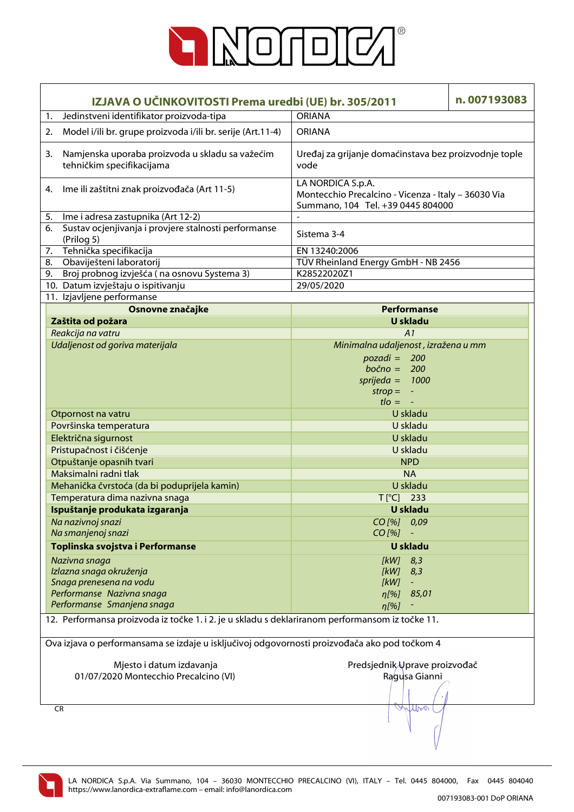

| IZJAVA O UČINKOVITOSTI Prema uredbi (UE) br. 305/2011                                                                         |                                                                                                                     | n.007193083 |  |
|-------------------------------------------------------------------------------------------------------------------------------|---------------------------------------------------------------------------------------------------------------------|-------------|--|
| Jedinstveni identifikator proizvoda-tipa<br>1.                                                                                | <b>ORIANA</b>                                                                                                       |             |  |
| Model i/ili br. grupe proizvoda i/ili br. serije (Art.11-4)<br>2.                                                             | <b>ORIANA</b>                                                                                                       |             |  |
| Namjenska uporaba proizvoda u skladu sa važećim<br>3.<br>tehničkim specifikacijama                                            | Uređaj za grijanje domaćinstava bez proizvodnje tople<br>vode                                                       |             |  |
| Ime ili zaštitni znak proizvođača (Art 11-5)<br>4.                                                                            | LA NORDICA S.p.A.<br>Montecchio Precalcino - Vicenza - Italy - 36030 Via<br>Summano, 104 Tel. +39 0445 804000       |             |  |
| Ime i adresa zastupnika (Art 12-2)<br>5.                                                                                      | $\overline{a}$                                                                                                      |             |  |
| Sustav ocjenjivanja i provjere stalnosti performanse<br>6.<br>(Prilog 5)                                                      | Sistema 3-4                                                                                                         |             |  |
| 7. Tehnička specifikacija                                                                                                     | EN 13240:2006                                                                                                       |             |  |
| 8. Obaviješteni laboratorij                                                                                                   | TÜV Rheinland Energy GmbH - NB 2456                                                                                 |             |  |
| Broj probnog izvješća (na osnovu Systema 3)<br>9.                                                                             | K28522020Z1                                                                                                         |             |  |
| 10. Datum izvještaju o ispitivanju                                                                                            | 29/05/2020                                                                                                          |             |  |
| 11. Izjavljene performanse                                                                                                    |                                                                                                                     |             |  |
| Osnovne značajke                                                                                                              | <b>Performanse</b>                                                                                                  |             |  |
| Zaštita od požara                                                                                                             | U skladu                                                                                                            |             |  |
| Reakcija na vatru                                                                                                             | A1                                                                                                                  |             |  |
| Udaljenost od goriva materijala                                                                                               | Minimalna udaljenost, izražena u mm<br>$pozadi = 200$<br>$bočno = 200$<br>sprijeda = $1000$<br>$\mathsf{strop} = -$ |             |  |
|                                                                                                                               | $t$ lo = $-$                                                                                                        |             |  |
| Otpornost na vatru                                                                                                            | U skladu                                                                                                            |             |  |
| Površinska temperatura                                                                                                        | U skladu                                                                                                            |             |  |
| Električna sigurnost                                                                                                          | U skladu                                                                                                            |             |  |
| Pristupačnost i čišćenje                                                                                                      | U skladu                                                                                                            |             |  |
| Otpuštanje opasnih tvari                                                                                                      | <b>NPD</b>                                                                                                          |             |  |
| Maksimalni radni tlak                                                                                                         | <b>NA</b>                                                                                                           |             |  |
| Mehanička čvrstoća (da bi poduprijela kamin)                                                                                  | U skladu                                                                                                            |             |  |
| Temperatura dima nazivna snaga                                                                                                | $T[^{\circ}C]$ 233                                                                                                  |             |  |
| Ispuštanje produkata izgaranja                                                                                                | <b>U</b> skladu                                                                                                     |             |  |
| Na nazivnoj snazi                                                                                                             | CO[%] 0,09                                                                                                          |             |  |
| Na smanjenoj snazi                                                                                                            | $CO$ [%]                                                                                                            |             |  |
| Toplinska svojstva i Performanse                                                                                              | <b>U</b> skladu                                                                                                     |             |  |
| Nazivna snaga                                                                                                                 | [kW]<br>8,3                                                                                                         |             |  |
| Izlazna snaga okruženja                                                                                                       | [kW]<br>8,3                                                                                                         |             |  |
| Snaga prenesena na vodu                                                                                                       | [kW]                                                                                                                |             |  |
| Performanse Nazivna snaga                                                                                                     | 85,01<br>$\eta$ [%]                                                                                                 |             |  |
| Performanse Smanjena snaga<br>12. Performansa proizvoda iz točke 1. i 2. je u skladu s deklariranom performansom iz točke 11. | $\eta$ [%]                                                                                                          |             |  |
| Ova izjava o performansama se izdaje u isključivoj odgovornosti proizvođača ako pod točkom 4                                  |                                                                                                                     |             |  |
|                                                                                                                               |                                                                                                                     |             |  |
| Mjesto i datum izdavanja<br>01/07/2020 Montecchio Precalcino (VI)                                                             | Predsjednik Uprave proizvođač<br>Ragusa Gianni                                                                      |             |  |
| <b>CR</b>                                                                                                                     | muro                                                                                                                |             |  |

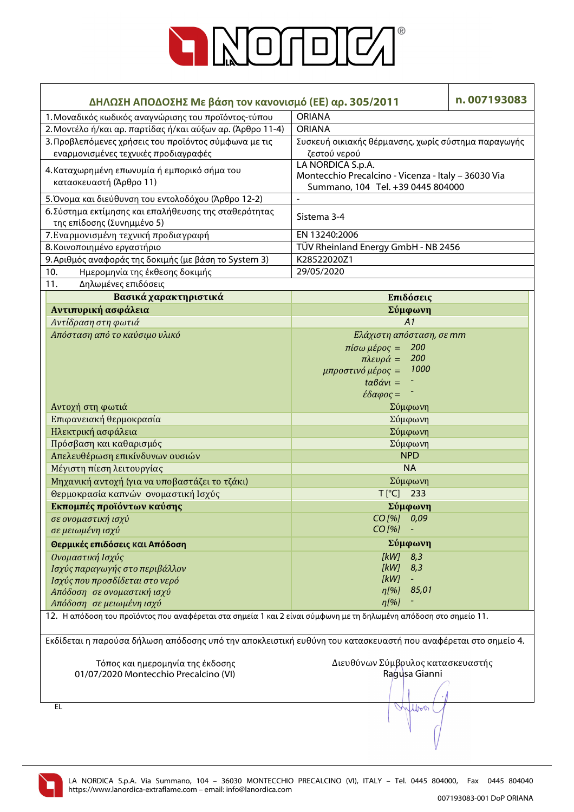

| ΔΗΛΩΣΗ ΑΠΟΔΟΣΗΣ Με βάση τον κανονισμό (ΕΕ) αρ. 305/2011                                                           |                                                     | n.007193083 |  |
|-------------------------------------------------------------------------------------------------------------------|-----------------------------------------------------|-------------|--|
| 1. Μοναδικός κωδικός αναγνώρισης του προϊόντος-τύπου                                                              | <b>ORIANA</b>                                       |             |  |
| 2. Μοντέλο ή/και αρ. παρτίδας ή/και αύξων αρ. (Άρθρο 11-4)                                                        | <b>ORIANA</b>                                       |             |  |
| 3. Προβλεπόμενες χρήσεις του προϊόντος σύμφωνα με τις                                                             | Συσκευή οικιακής θέρμανσης, χωρίς σύστημα παραγωγής |             |  |
| εναρμονισμένες τεχνικές προδιαγραφές                                                                              | ζεστού νερού                                        |             |  |
|                                                                                                                   | LA NORDICA S.p.A.                                   |             |  |
| 4. Καταχωρημένη επωνυμία ή εμπορικό σήμα του                                                                      | Montecchio Precalcino - Vicenza - Italy - 36030 Via |             |  |
| κατασκευαστή (Άρθρο 11)                                                                                           | Summano, 104 Tel. +39 0445 804000                   |             |  |
| 5. Όνομα και διεύθυνση του εντολοδόχου (Άρθρο 12-2)                                                               | $\blacksquare$                                      |             |  |
| 6. Σύστημα εκτίμησης και επαλήθευσης της σταθερότητας                                                             |                                                     |             |  |
| της επίδοσης (Συνημμένο 5)                                                                                        | Sistema 3-4                                         |             |  |
| 7. Εναρμονισμένη τεχνική προδιαγραφή                                                                              | EN 13240:2006                                       |             |  |
| 8. Κοινοποιημένο εργαστήριο                                                                                       | TÜV Rheinland Energy GmbH - NB 2456                 |             |  |
| 9. Αριθμός αναφοράς της δοκιμής (με βάση το System 3)                                                             | K28522020Z1                                         |             |  |
| 10.<br>Ημερομηνία της έκθεσης δοκιμής                                                                             | 29/05/2020                                          |             |  |
| 11.<br>Δηλωμένες επιδόσεις                                                                                        |                                                     |             |  |
| Βασικά χαρακτηριστικά                                                                                             | Επιδόσεις                                           |             |  |
| Αντιπυρική ασφάλεια                                                                                               | Σύμφωνη                                             |             |  |
| Αντίδραση στη φωτιά                                                                                               | A1                                                  |             |  |
| Απόσταση από το καύσιμο υλικό                                                                                     | Ελάχιστη απόσταση, σε mm                            |             |  |
|                                                                                                                   | 200                                                 |             |  |
|                                                                                                                   | $πiσω μέρος =$<br>200<br>$πλευρά =$                 |             |  |
|                                                                                                                   | 1000<br>μπροστινό μέρος =                           |             |  |
|                                                                                                                   | $t\alpha\beta\dot{\alpha}v\iota=$                   |             |  |
|                                                                                                                   | $\epsilon \delta \alpha \varphi$ ος =               |             |  |
| Αντοχή στη φωτιά                                                                                                  |                                                     |             |  |
| Επιφανειακή θερμοκρασία                                                                                           | Σύμφωνη<br>Σύμφωνη                                  |             |  |
|                                                                                                                   |                                                     |             |  |
| Ηλεκτρική ασφάλεια                                                                                                | Σύμφωνη                                             |             |  |
| Πρόσβαση και καθαρισμός                                                                                           | Σύμφωνη                                             |             |  |
| Απελευθέρωση επικίνδυνων ουσιών                                                                                   | <b>NPD</b>                                          |             |  |
| Μέγιστη πίεση λειτουργίας                                                                                         | <b>NA</b>                                           |             |  |
| Μηχανική αντοχή (για να υποβαστάζει το τζάκι)                                                                     | Σύμφωνη                                             |             |  |
| Θερμοκρασία καπνών ονομαστική Ισχύς                                                                               | $T[^{\circ}C]$ 233                                  |             |  |
| Εκπομπές προϊόντων καύσης                                                                                         | Σύμφωνη                                             |             |  |
| σε ονομαστική ισχύ                                                                                                | CO [%] 0,09                                         |             |  |
| σε μειωμένη ισχύ                                                                                                  | $CO$ [%]                                            |             |  |
| Θερμικές επιδόσεις και Απόδοση                                                                                    | Σύμφωνη                                             |             |  |
| Ονομαστική Ισχύς                                                                                                  | [kW]<br>8,3                                         |             |  |
| Ισχύς παραγωγής στο περιβάλλον                                                                                    | [kW]<br>8,3                                         |             |  |
| Ισχύς που προσδίδεται στο νερό                                                                                    | [kW]                                                |             |  |
| Απόδοση σε ονομαστική ισχύ                                                                                        | 85,01<br>$\eta$ [%]                                 |             |  |
| Απόδοση σε μειωμένη ισχύ                                                                                          | $\eta$ [%]                                          |             |  |
| 12. Η απόδοση του προϊόντος που αναφέρεται στα σημεία 1 και 2 είναι σύμφωνη με τη δηλωμένη απόδοση στο σημείο 11. |                                                     |             |  |
| Εκδίδεται η παρούσα δήλωση απόδοσης υπό την αποκλειστική ευθύνη του κατασκευαστή που αναφέρεται στο σημείο 4.     |                                                     |             |  |
| Τόπος και ημερομηνία της έκδοσης                                                                                  | Διευθύνων Σύμβρυλος κατασκευαστής                   |             |  |
| 01/07/2020 Montecchio Precalcino (VI)                                                                             | Ragusa Gianni                                       |             |  |
|                                                                                                                   |                                                     |             |  |
|                                                                                                                   |                                                     |             |  |
| EL                                                                                                                | Inflow                                              |             |  |
|                                                                                                                   |                                                     |             |  |
|                                                                                                                   |                                                     |             |  |
|                                                                                                                   |                                                     |             |  |

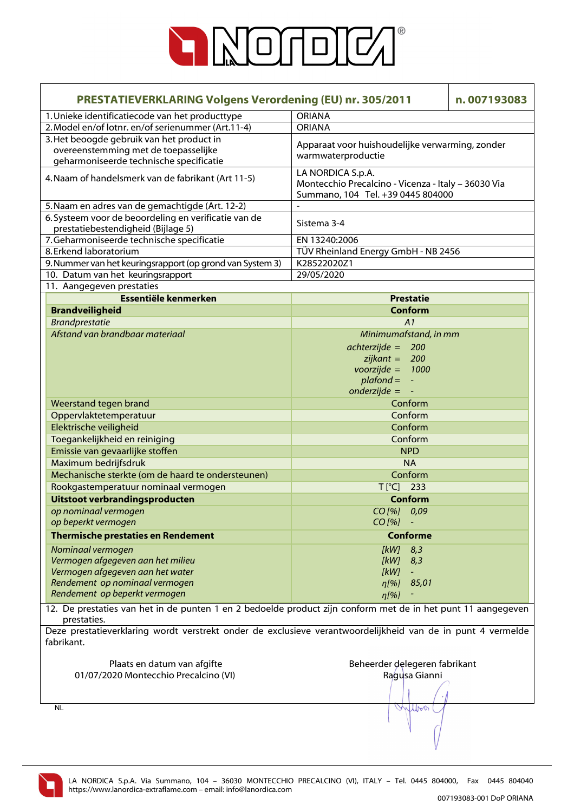

| <b>PRESTATIEVERKLARING Volgens Verordening (EU) nr. 305/2011</b>                                                             |                                                                                                               | n.007193083 |  |
|------------------------------------------------------------------------------------------------------------------------------|---------------------------------------------------------------------------------------------------------------|-------------|--|
| 1. Unieke identificatiecode van het producttype                                                                              | <b>ORIANA</b>                                                                                                 |             |  |
| 2. Model en/of lotnr. en/of serienummer (Art.11-4)                                                                           | <b>ORIANA</b>                                                                                                 |             |  |
| 3. Het beoogde gebruik van het product in<br>overeenstemming met de toepasselijke<br>geharmoniseerde technische specificatie | Apparaat voor huishoudelijke verwarming, zonder<br>warmwaterproductie                                         |             |  |
| 4. Naam of handelsmerk van de fabrikant (Art 11-5)                                                                           | LA NORDICA S.p.A.<br>Montecchio Precalcino - Vicenza - Italy - 36030 Via<br>Summano, 104 Tel. +39 0445 804000 |             |  |
| 5. Naam en adres van de gemachtigde (Art. 12-2)                                                                              |                                                                                                               |             |  |
| 6. Systeem voor de beoordeling en verificatie van de                                                                         | Sistema 3-4                                                                                                   |             |  |
| prestatiebestendigheid (Bijlage 5)                                                                                           |                                                                                                               |             |  |
| 7. Geharmoniseerde technische specificatie                                                                                   | EN 13240:2006                                                                                                 |             |  |
| 8. Erkend laboratorium                                                                                                       | TÜV Rheinland Energy GmbH - NB 2456                                                                           |             |  |
| 9. Nummer van het keuringsrapport (op grond van System 3)                                                                    | K28522020Z1                                                                                                   |             |  |
| 10. Datum van het keuringsrapport<br>11. Aangegeven prestaties                                                               | 29/05/2020                                                                                                    |             |  |
| Essentiële kenmerken                                                                                                         | <b>Prestatie</b>                                                                                              |             |  |
|                                                                                                                              | Conform                                                                                                       |             |  |
| <b>Brandveiligheid</b>                                                                                                       | A1                                                                                                            |             |  |
| <b>Brandprestatie</b><br>Afstand van brandbaar materiaal                                                                     |                                                                                                               |             |  |
|                                                                                                                              | Minimumafstand, in mm                                                                                         |             |  |
|                                                                                                                              | $achterzijde = 200$<br>$zijkant = 200$                                                                        |             |  |
|                                                                                                                              | $voorzijde =$<br>1000                                                                                         |             |  |
|                                                                                                                              | $plafond =$<br>$\omega$                                                                                       |             |  |
|                                                                                                                              | $onderzijde =$                                                                                                |             |  |
| Weerstand tegen brand                                                                                                        | Conform                                                                                                       |             |  |
| Oppervlaktetemperatuur                                                                                                       | Conform                                                                                                       |             |  |
| Elektrische veiligheid                                                                                                       | Conform                                                                                                       |             |  |
| Toegankelijkheid en reiniging                                                                                                | Conform                                                                                                       |             |  |
| Emissie van gevaarlijke stoffen                                                                                              | <b>NPD</b>                                                                                                    |             |  |
| Maximum bedrijfsdruk                                                                                                         | <b>NA</b>                                                                                                     |             |  |
| Mechanische sterkte (om de haard te ondersteunen)                                                                            | Conform                                                                                                       |             |  |
| Rookgastemperatuur nominaal vermogen                                                                                         | $T[^{\circ}C]$ 233                                                                                            |             |  |
| Uitstoot verbrandingsproducten                                                                                               | <b>Conform</b>                                                                                                |             |  |
| op nominaal vermogen                                                                                                         | CO[%] 0,09                                                                                                    |             |  |
| op beperkt vermogen                                                                                                          | $CO$ [%]                                                                                                      |             |  |
| <b>Thermische prestaties en Rendement</b>                                                                                    | <b>Conforme</b>                                                                                               |             |  |
| Nominaal vermogen                                                                                                            | 8,3<br>[kW]                                                                                                   |             |  |
| Vermogen afgegeven aan het milieu                                                                                            | [kW]<br>8,3                                                                                                   |             |  |
| Vermogen afgegeven aan het water                                                                                             | [kW]                                                                                                          |             |  |
| Rendement op nominaal vermogen                                                                                               | 85,01<br>$\eta$ [%]                                                                                           |             |  |
| Rendement op beperkt vermogen                                                                                                | $\eta$ [%]                                                                                                    |             |  |
| 12. De prestaties van het in de punten 1 en 2 bedoelde product zijn conform met de in het punt 11 aangegeven<br>prestaties.  |                                                                                                               |             |  |
| Deze prestatieverklaring wordt verstrekt onder de exclusieve verantwoordelijkheid van de in punt 4 vermelde                  |                                                                                                               |             |  |
| fabrikant.                                                                                                                   |                                                                                                               |             |  |
|                                                                                                                              |                                                                                                               |             |  |
| Plaats en datum van afgifte                                                                                                  | Beheerder delegeren fabrikant                                                                                 |             |  |
| 01/07/2020 Montecchio Precalcino (VI)                                                                                        | Ragusa Gianni                                                                                                 |             |  |
|                                                                                                                              |                                                                                                               |             |  |
|                                                                                                                              | Wilbert                                                                                                       |             |  |
| <b>NL</b>                                                                                                                    |                                                                                                               |             |  |
|                                                                                                                              |                                                                                                               |             |  |
|                                                                                                                              |                                                                                                               |             |  |

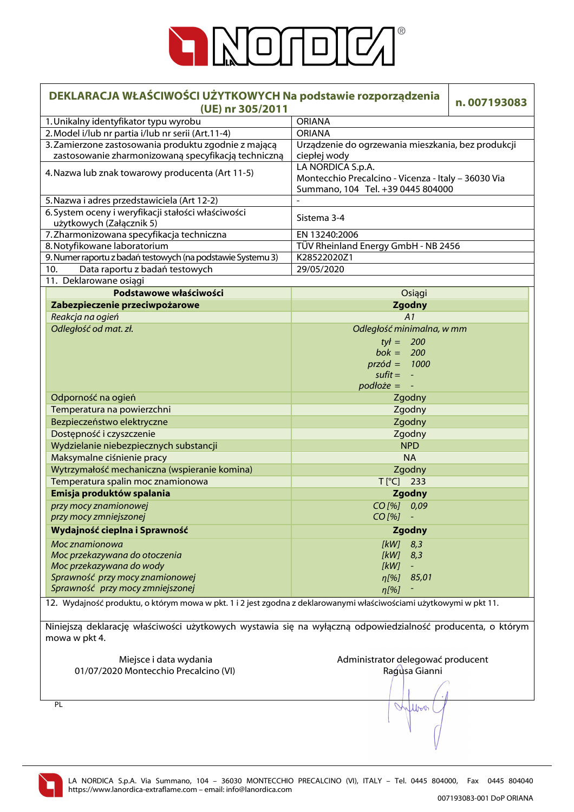

| DEKLARACJA WŁAŚCIWOŚCI UŻYTKOWYCH Na podstawie rozporządzenia<br>(UE) nr 305/2011                                           |                                                                                                               | n.007193083 |  |
|-----------------------------------------------------------------------------------------------------------------------------|---------------------------------------------------------------------------------------------------------------|-------------|--|
| 1. Unikalny identyfikator typu wyrobu                                                                                       | <b>ORIANA</b>                                                                                                 |             |  |
| 2. Model i/lub nr partia i/lub nr serii (Art.11-4)                                                                          | <b>ORIANA</b>                                                                                                 |             |  |
| 3. Zamierzone zastosowania produktu zgodnie z mającą<br>zastosowanie zharmonizowaną specyfikacją techniczną                 | Urządzenie do ogrzewania mieszkania, bez produkcji<br>ciepłej wody                                            |             |  |
| 4. Nazwa lub znak towarowy producenta (Art 11-5)                                                                            | LA NORDICA S.p.A.<br>Montecchio Precalcino - Vicenza - Italy - 36030 Via<br>Summano, 104 Tel. +39 0445 804000 |             |  |
| 5. Nazwa i adres przedstawiciela (Art 12-2)                                                                                 | $\overline{a}$                                                                                                |             |  |
| 6. System oceny i weryfikacji stałości właściwości<br>użytkowych (Załącznik 5)                                              | Sistema 3-4                                                                                                   |             |  |
| 7. Zharmonizowana specyfikacja techniczna                                                                                   | EN 13240:2006                                                                                                 |             |  |
| 8. Notyfikowane laboratorium                                                                                                | TÜV Rheinland Energy GmbH - NB 2456                                                                           |             |  |
| 9. Numer raportu z badań testowych (na podstawie Systemu 3)                                                                 | K28522020Z1                                                                                                   |             |  |
| Data raportu z badań testowych<br>10.                                                                                       | 29/05/2020                                                                                                    |             |  |
| 11. Deklarowane osiągi                                                                                                      |                                                                                                               |             |  |
| Podstawowe właściwości                                                                                                      | Osiągi                                                                                                        |             |  |
| Zabezpieczenie przeciwpożarowe                                                                                              | <b>Zgodny</b>                                                                                                 |             |  |
| Reakcja na ogień                                                                                                            | A1                                                                                                            |             |  |
| Odległość od mat. zł.                                                                                                       | Odległość minimalna, w mm<br>$tył = 200$<br>$bok = 200$<br>$przód = 1000$<br>$s$ ufit = $-$<br>$podłoże = -$  |             |  |
| Odporność na ogień                                                                                                          | Zgodny                                                                                                        |             |  |
| Temperatura na powierzchni                                                                                                  | Zgodny                                                                                                        |             |  |
| Bezpieczeństwo elektryczne                                                                                                  | Zgodny                                                                                                        |             |  |
| Dostępność i czyszczenie                                                                                                    | Zgodny                                                                                                        |             |  |
| Wydzielanie niebezpiecznych substancji                                                                                      | <b>NPD</b>                                                                                                    |             |  |
| Maksymalne ciśnienie pracy                                                                                                  | <b>NA</b>                                                                                                     |             |  |
| Wytrzymałość mechaniczna (wspieranie komina)                                                                                | Zgodny                                                                                                        |             |  |
| Temperatura spalin moc znamionowa                                                                                           | $T[^{\circ}C]$ 233                                                                                            |             |  |
| Emisja produktów spalania                                                                                                   | <b>Zgodny</b>                                                                                                 |             |  |
| przy mocy znamionowej                                                                                                       | CO [%] 0,09                                                                                                   |             |  |
| przy mocy zmniejszonej                                                                                                      | $CO [%] -$                                                                                                    |             |  |
| Wydajność cieplna i Sprawność                                                                                               | Zgodny                                                                                                        |             |  |
| Moc znamionowa                                                                                                              | 8,3<br>[KW]                                                                                                   |             |  |
| Moc przekazywana do otoczenia                                                                                               | [kW]<br>8,3                                                                                                   |             |  |
| Moc przekazywana do wody                                                                                                    | [kW]<br>÷,                                                                                                    |             |  |
| Sprawność przy mocy znamionowej                                                                                             | 85,01<br>η[%]                                                                                                 |             |  |
| Sprawność przy mocy zmniejszonej                                                                                            | $\eta$ [%]                                                                                                    |             |  |
| 12. Wydajność produktu, o którym mowa w pkt. 1 i 2 jest zgodna z deklarowanymi właściwościami użytkowymi w pkt 11.          |                                                                                                               |             |  |
| Niniejszą deklarację właściwości użytkowych wystawia się na wyłączną odpowiedzialność producenta, o którym<br>mowa w pkt 4. |                                                                                                               |             |  |
| Miejsce i data wydania                                                                                                      | Administrator delegować producent                                                                             |             |  |
| 01/07/2020 Montecchio Precalcino (VI)<br>Ragusa Gianni                                                                      |                                                                                                               |             |  |
|                                                                                                                             |                                                                                                               |             |  |
| PL                                                                                                                          | Wilbert                                                                                                       |             |  |
|                                                                                                                             |                                                                                                               |             |  |